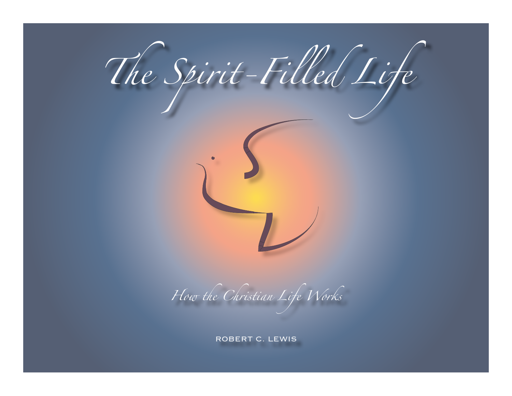*The Spirit-Filled Life*

*How the Christian Life Works*

ROBERT C. LEWIS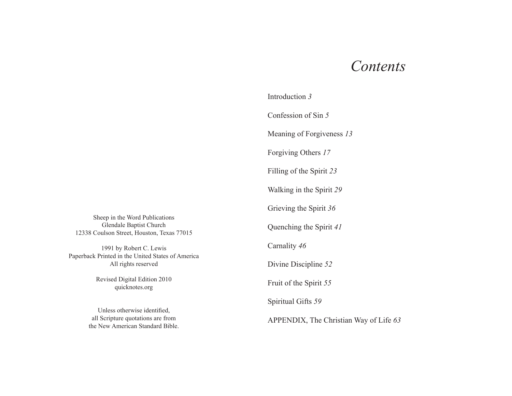### *Contents*

| Introduction 3                         |
|----------------------------------------|
| Confession of Sin 5                    |
| Meaning of Forgiveness 13              |
| Forgiving Others 17                    |
| Filling of the Spirit 23               |
| Walking in the Spirit 29               |
| Grieving the Spirit 36                 |
| Quenching the Spirit 41                |
| Carnality 46                           |
| Divine Discipline 52                   |
| Fruit of the Spirit 55                 |
| Spiritual Gifts 59                     |
| APPENDIX, The Christian Way of Life 63 |

Sheep in the Word Publications Glendale Baptist Church 12338 Coulson Street, Houston, Texas 77015

1991 by Robert C. Lewis Paperback Printed in the United States of America All rights reserved

> Revised Digital Edition 2010 quicknotes.org

Unless otherwise identified, all Scripture quotations are from the New American Standard Bible.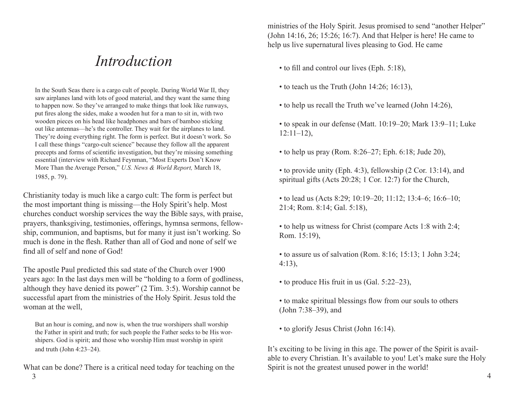### *Introduction*

In the South Seas there is a cargo cult of people. During World War II, they saw airplanes land with lots of good material, and they want the same thing to happen now. So they've arranged to make things that look like runways, put fires along the sides, make a wooden hut for a man to sit in, with two wooden pieces on his head like headphones and bars of bamboo sticking out like antennas—he's the controller. They wait for the airplanes to land. They're doing everything right. The form is perfect. But it doesn't work. So I call these things "cargo-cult science" because they follow all the apparent precepts and forms of scientific investigation, but they're missing something essential (interview with Richard Feynman, "Most Experts Don't Know More Than the Average Person," *U.S. News & World Report,* March 18, 1985, p. 79).

Christianity today is much like a cargo cult: The form is perfect but the most important thing is missing—the Holy Spirit's help. Most churches conduct worship services the way the Bible says, with praise, prayers, thanksgiving, testimonies, offerings, hymnsa sermons, fellowship, communion, and baptisms, but for many it just isn't working. So much is done in the flesh. Rather than all of God and none of self we find all of self and none of God!

The apostle Paul predicted this sad state of the Church over 1900 years ago: In the last days men will be "holding to a form of godliness, although they have denied its power" (2 Tim. 3:5). Worship cannot be successful apart from the ministries of the Holy Spirit. Jesus told the woman at the well,

But an hour is coming, and now is, when the true worshipers shall worship the Father in spirit and truth; for such people the Father seeks to be His worshipers. God is spirit; and those who worship Him must worship in spirit and truth (John 4:23–24).

What can be done? There is a critical need today for teaching on the 3 4

ministries of the Holy Spirit. Jesus promised to send "another Helper" (John 14:16, 26; 15:26; 16:7). And that Helper is here! He came to help us live supernatural lives pleasing to God. He came

- to fill and control our lives (Eph. 5:18),
- to teach us the Truth (John  $14:26$ ; 16:13),
- to help us recall the Truth we've learned (John 14:26),
- to speak in our defense (Matt. 10:19–20; Mark 13:9–11; Luke 12:11–12),
- to help us pray (Rom. 8:26–27; Eph. 6:18; Jude 20),
- to provide unity (Eph. 4:3), fellowship (2 Cor. 13:14), and spiritual gifts (Acts 20:28; 1 Cor. 12:7) for the Church,
- to lead us (Acts 8:29; 10:19–20; 11:12; 13:4–6; 16:6–10; 21:4; Rom. 8:14; Gal. 5:18),
- to help us witness for Christ (compare Acts 1:8 with 2:4; Rom. 15:19),
- to assure us of salvation (Rom. 8:16; 15:13; 1 John 3:24; 4:13),
- to produce His fruit in us (Gal. 5:22–23),
- to make spiritual blessings flow from our souls to others (John 7:38–39), and
- to glorify Jesus Christ (John 16:14).

It's exciting to be living in this age. The power of the Spirit is available to every Christian. It's available to you! Let's make sure the Holy Spirit is not the greatest unused power in the world!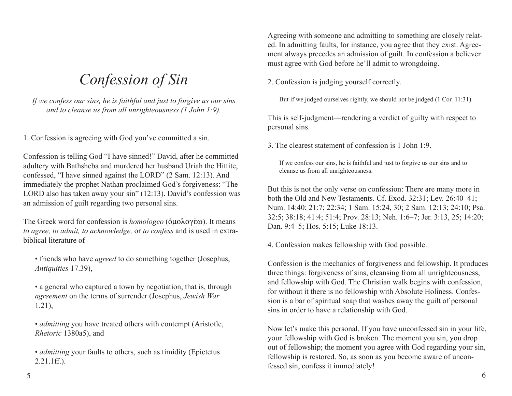*Confession of Sin*

*If we confess our sins, he is faithful and just to forgive us our sins and to cleanse us from all unrighteousness (1 John 1:9).*

1. Confession is agreeing with God you've committed a sin.

Confession is telling God "I have sinned!" David, after he committed adultery with Bathsheba and murdered her husband Uriah the Hittite, confessed, "I have sinned against the LORD" (2 Sam. 12:13). And immediately the prophet Nathan proclaimed God's forgiveness: "The LORD also has taken away your sin" (12:13). David's confession was an admission of guilt regarding two personal sins.

The Greek word for confession is *homologeo* (δμολογεω). It means *to agree, to admit, to acknowledge,* or *to confess* and is used in extrabiblical literature of

- friends who have *agreed* to do something together (Josephus, *Antiquities* 17.39),
- a general who captured a town by negotiation, that is, through *agreement* on the terms of surrender (Josephus, *Jewish War* 1.21),

• *admitting* you have treated others with contempt (Aristotle, *Rhetoric* 1380a5), and

• *admitting* your faults to others, such as timidity (Epictetus  $2.21.1$ ff.).

Agreeing with someone and admitting to something are closely related. In admitting faults, for instance, you agree that they exist. Agreement always precedes an admission of guilt. In confession a believer must agree with God before he'll admit to wrongdoing.

2. Confession is judging yourself correctly.

But if we judged ourselves rightly, we should not be judged (1 Cor. 11:31).

This is self-judgment—rendering a verdict of guilty with respect to personal sins.

3. The clearest statement of confession is 1 John 1:9.

If we confess our sins, he is faithful and just to forgive us our sins and to cleanse us from all unrighteousness.

But this is not the only verse on confession: There are many more in both the Old and New Testaments. Cf. Exod. 32:31; Lev. 26:40–41; Num. 14:40; 21:7; 22:34; 1 Sam. 15:24, 30; 2 Sam. 12:13; 24:10; Psa. 32:5; 38:18; 41:4; 51:4; Prov. 28:13; Neh. 1:6–7; Jer. 3:13, 25; 14:20; Dan. 9:4–5; Hos. 5:15; Luke 18:13.

4. Confession makes fellowship with God possible.

Confession is the mechanics of forgiveness and fellowship. It produces three things: forgiveness of sins, cleansing from all unrighteousness, and fellowship with God. The Christian walk begins with confession, for without it there is no fellowship with Absolute Holiness. Confession is a bar of spiritual soap that washes away the guilt of personal sins in order to have a relationship with God.

Now let's make this personal. If you have unconfessed sin in your life, your fellowship with God is broken. The moment you sin, you drop out of fellowship; the moment you agree with God regarding your sin, fellowship is restored. So, as soon as you become aware of unconfessed sin, confess it immediately!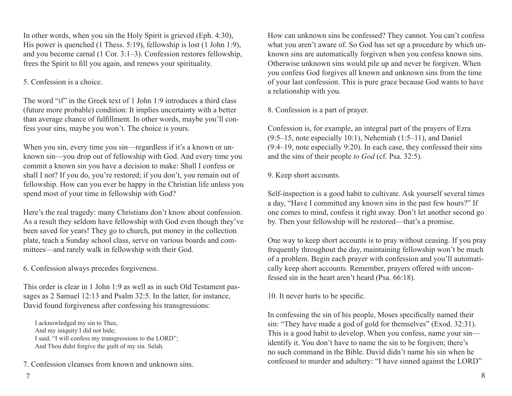In other words, when you sin the Holy Spirit is grieved (Eph. 4:30), His power is quenched (1 Thess. 5:19), fellowship is lost (1 John 1:9), and you become carnal (1 Cor. 3:1–3). Confession restores fellowship, frees the Spirit to fill you again, and renews your spirituality.

#### 5. Confession is a choice.

The word "if" in the Greek text of 1 John 1:9 introduces a third class (future more probable) condition: It implies uncertainty with a better than average chance of fulfillment. In other words, maybe you'll confess your sins, maybe you won't. The choice is yours.

When you sin, every time you sin—regardless if it's a known or unknown sin—you drop out of fellowship with God. And every time you commit a known sin you have a decision to make: Shall I confess or shall I not? If you do, you're restored; if you don't, you remain out of fellowship. How can you ever be happy in the Christian life unless you spend most of your time in fellowship with God?

Here's the real tragedy: many Christians don't know about confession. As a result they seldom have fellowship with God even though they've been saved for years! They go to church, put money in the collection plate, teach a Sunday school class, serve on various boards and committees—and rarely walk in fellowship with their God.

6. Confession always precedes forgiveness.

This order is clear in 1 John 1:9 as well as in such Old Testament passages as 2 Samuel 12:13 and Psalm 32:5. In the latter, for instance, David found forgiveness after confessing his transgressions:

I acknowledged my sin to Thee, And my iniquity I did not hide: I said, "I will confess my transgressions to the LORD"; And Thou didst forgive the guilt of my sin. Selah.

7. Confession cleanses from known and unknown sins.

How can unknown sins be confessed? They cannot. You can't confess what you aren't aware of. So God has set up a procedure by which unknown sins are automatically forgiven when you confess known sins. Otherwise unknown sins would pile up and never be forgiven. When you confess God forgives all known and unknown sins from the time of your last confession. This is pure grace because God wants to have a relationship with you.

8. Confession is a part of prayer.

Confession is, for example, an integral part of the prayers of Ezra (9:5–15, note especially 10:1), Nehemiah (1:5–11), and Daniel (9:4–19, note especially 9:20). In each case, they confessed their sins and the sins of their people *to God* (cf. Psa. 32:5).

9. Keep short accounts.

Self-inspection is a good habit to cultivate. Ask yourself several times a day, "Have I committed any known sins in the past few hours?" If one comes to mind, confess it right away. Don't let another second go by. Then your fellowship will be restored—that's a promise.

One way to keep short accounts is to pray without ceasing. If you pray frequently throughout the day, maintaining fellowship won't be much of a problem. Begin each prayer with confession and you'll automatically keep short accounts. Remember, prayers offered with unconfessed sin in the heart aren't heard (Psa. 66:18).

10. It never hurts to be specific.

In confessing the sin of his people, Moses specifically named their sin: "They have made a god of gold for themselves" (Exod. 32:31). This is a good habit to develop. When you confess, name your sin identify it. You don't have to name the sin to be forgiven; there's no such command in the Bible. David didn't name his sin when he confessed to murder and adultery: "I have sinned against the LORD"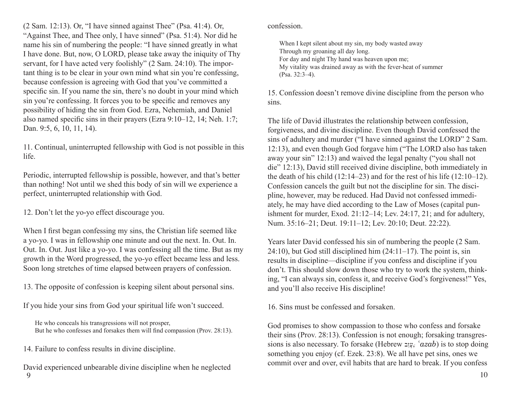(2 Sam. 12:13). Or, "I have sinned against Thee" (Psa. 41:4). Or, "Against Thee, and Thee only, I have sinned" (Psa. 51:4). Nor did he name his sin of numbering the people: "I have sinned greatly in what I have done. But, now, O LORD, please take away the iniquity of Thy servant, for I have acted very foolishly" (2 Sam. 24:10). The important thing is to be clear in your own mind what sin you're confessing, because confession is agreeing with God that you've committed a specific sin. If you name the sin, there's no doubt in your mind which sin you're confessing. It forces you to be specific and removes any possibility of hiding the sin from God. Ezra, Nehemiah, and Daniel also named specific sins in their prayers (Ezra 9:10–12, 14; Neh. 1:7; Dan. 9:5, 6, 10, 11, 14).

11. Continual, uninterrupted fellowship with God is not possible in this life.

Periodic, interrupted fellowship is possible, however, and that's better than nothing! Not until we shed this body of sin will we experience a perfect, uninterrupted relationship with God.

12. Don't let the yo-yo effect discourage you.

When I first began confessing my sins, the Christian life seemed like a yo-yo. I was in fellowship one minute and out the next. In. Out. In. Out. In. Out. Just like a yo-yo. I was confessing all the time. But as my growth in the Word progressed, the yo-yo effect became less and less. Soon long stretches of time elapsed between prayers of confession.

13. The opposite of confession is keeping silent about personal sins.

If you hide your sins from God your spiritual life won't succeed.

He who conceals his transgressions will not prosper, But he who confesses and forsakes them will find compassion (Prov. 28:13).

14. Failure to confess results in divine discipline.

David experienced unbearable divine discipline when he neglected 9 10

confession.

When I kept silent about my sin, my body wasted away Through my groaning all day long. For day and night Thy hand was heaven upon me; My vitality was drained away as with the fever-heat of summer (Psa. 32:3–4).

15. Confession doesn't remove divine discipline from the person who sins.

The life of David illustrates the relationship between confession, forgiveness, and divine discipline. Even though David confessed the sins of adultery and murder ("I have sinned against the LORD" 2 Sam. 12:13), and even though God forgave him ("The LORD also has taken away your sin" 12:13) and waived the legal penalty ("you shall not die" 12:13), David still received divine discipline, both immediately in the death of his child  $(12:14-23)$  and for the rest of his life  $(12:10-12)$ . Confession cancels the guilt but not the discipline for sin. The discipline, however, may be reduced. Had David not confessed immediately, he may have died according to the Law of Moses (capital punishment for murder, Exod. 21:12–14; Lev. 24:17, 21; and for adultery, Num. 35:16–21; Deut. 19:11–12; Lev. 20:10; Deut. 22:22).

Years later David confessed his sin of numbering the people (2 Sam.  $24:10$ ), but God still disciplined him  $(24:11-17)$ . The point is, sin results in discipline—discipline if you confess and discipline if you don't. This should slow down those who try to work the system, thinking, "I can always sin, confess it, and receive God's forgiveness!" Yes, and you'll also receive His discipline!

16. Sins must be confessed and forsaken.

God promises to show compassion to those who confess and forsake their sins (Prov. 28:13). Confession is not enough; forsaking transgressions is also necessary. To forsake (Hebrew נעזב, ` $azab$ ) is to stop doing something you enjoy (cf. Ezek. 23:8). We all have pet sins, ones we commit over and over, evil habits that are hard to break. If you confess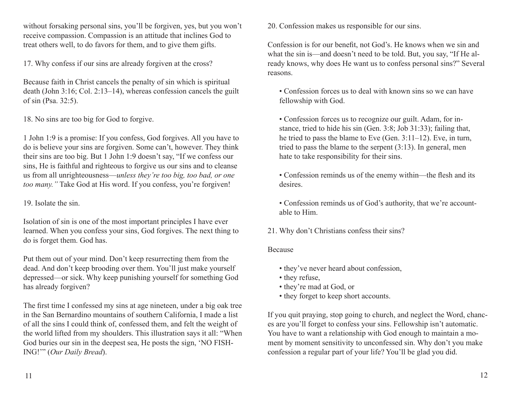without forsaking personal sins, you'll be forgiven, yes, but you won't receive compassion. Compassion is an attitude that inclines God to treat others well, to do favors for them, and to give them gifts.

17. Why confess if our sins are already forgiven at the cross?

Because faith in Christ cancels the penalty of sin which is spiritual death (John 3:16; Col. 2:13–14), whereas confession cancels the guilt of sin (Psa. 32:5).

18. No sins are too big for God to forgive.

1 John 1:9 is a promise: If you confess, God forgives. All you have to do is believe your sins are forgiven. Some can't, however. They think their sins are too big. But 1 John 1:9 doesn't say, "If we confess our sins, He is faithful and righteous to forgive us our sins and to cleanse us from all unrighteousness—*unless they're too big, too bad, or one too many."* Take God at His word. If you confess, you're forgiven!

19. Isolate the sin.

Isolation of sin is one of the most important principles I have ever learned. When you confess your sins, God forgives. The next thing to do is forget them. God has.

Put them out of your mind. Don't keep resurrecting them from the dead. And don't keep brooding over them. You'll just make yourself depressed—or sick. Why keep punishing yourself for something God has already forgiven?

The first time I confessed my sins at age nineteen, under a big oak tree in the San Bernardino mountains of southern California, I made a list of all the sins I could think of, confessed them, and felt the weight of the world lifted from my shoulders. This illustration says it all: "When God buries our sin in the deepest sea, He posts the sign, 'NO FISH-ING!'" (*Our Daily Bread*).

20. Confession makes us responsible for our sins.

Confession is for our benefit, not God's. He knows when we sin and what the sin is—and doesn't need to be told. But, you say, "If He already knows, why does He want us to confess personal sins?" Several reasons.

• Confession forces us to deal with known sins so we can have fellowship with God.

• Confession forces us to recognize our guilt. Adam, for instance, tried to hide his sin (Gen. 3:8; Job 31:33); failing that, he tried to pass the blame to Eve (Gen. 3:11–12). Eve, in turn, tried to pass the blame to the serpent (3:13). In general, men hate to take responsibility for their sins.

• Confession reminds us of the enemy within—the flesh and its desires.

• Confession reminds us of God's authority, that we're accountable to Him.

21. Why don't Christians confess their sins?

Because

- they've never heard about confession,
- they refuse,
- they're mad at God, or
- they forget to keep short accounts.

If you quit praying, stop going to church, and neglect the Word, chances are you'll forget to confess your sins. Fellowship isn't automatic. You have to want a relationship with God enough to maintain a moment by moment sensitivity to unconfessed sin. Why don't you make confession a regular part of your life? You'll be glad you did.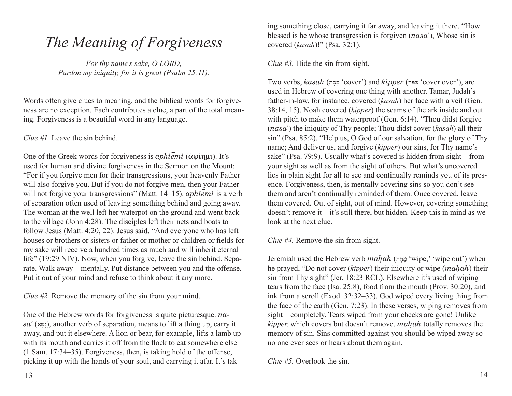## *The Meaning of Forgiveness*

*For thy name's sake, O LORD, Pardon my iniquity, for it is great (Psalm 25:11).*

Words often give clues to meaning, and the biblical words for forgiveness are no exception. Each contributes a clue, a part of the total meaning. Forgiveness is a beautiful word in any language.

#### *Clue #1.* Leave the sin behind.

One of the Greek words for forgiveness is  $aphi\overline{emi}$  ( $\alpha\phi(\eta\mu\iota)$ ). It's used for human and divine forgiveness in the Sermon on the Mount: "For if you forgive men for their transgressions, your heavenly Father will also forgive you. But if you do not forgive men, then your Father will not forgive your transgressions" (Matt.  $14-15$ ). *aphiemi* is a verb of separation often used of leaving something behind and going away. The woman at the well left her waterpot on the ground and went back to the village (John 4:28). The disciples left their nets and boats to follow Jesus (Matt. 4:20, 22). Jesus said, "And everyone who has left houses or brothers or sisters or father or mother or children or fields for my sake will receive a hundred times as much and will inherit eternal life" (19:29 NIV). Now, when you forgive, leave the sin behind. Separate. Walk away—mentally. Put distance between you and the offense. Put it out of your mind and refuse to think about it any more.

*Clue #2.* Remove the memory of the sin from your mind.

One of the Hebrew words for forgiveness is quite picturesque. nasa' (sig), another verb of separation, means to lift a thing up, carry it away, and put it elsewhere. A lion or bear, for example, lifts a lamb up with its mouth and carries it off from the flock to eat somewhere else (1 Sam. 17:34–35). Forgiveness, then, is taking hold of the offense, picking it up with the hands of your soul, and carrying it afar. It's tak-

ing something close, carrying it far away, and leaving it there. "How blessed is he whose transgression is forgiven  $(nasa)$ . Whose sin is covered (*kasah*)!" (Psa. 32:1).

*Clue #3.* Hide the sin from sight.

Two verbs, kasah (הָפֶר;) and kipper (יפֶר;) cover over'), are used in Hebrew of covering one thing with another. Tamar, Judah's father-in-law, for instance, covered (*kasah*) her face with a veil (Gen. 38:14, 15). Noah covered (*kipper*) the seams of the ark inside and out with pitch to make them waterproof (Gen. 6:14). "Thou didst forgive (*nasa*<sup>)</sup>) the iniquity of Thy people; Thou didst cover (*kasah*) all their sin" (Psa. 85:2). "Help us, O God of our salvation, for the glory of Thy name; And deliver us, and forgive (*kipper*) our sins, for Thy name's sake" (Psa. 79:9). Usually what's covered is hidden from sight—from your sight as well as from the sight of others. But what's uncovered lies in plain sight for all to see and continually reminds you of its presence. Forgiveness, then, is mentally covering sins so you don't see them and aren't continually reminded of them. Once covered, leave them covered. Out of sight, out of mind. However, covering something doesn't remove it—it's still there, but hidden. Keep this in mind as we look at the next clue.

*Clue #4.* Remove the sin from sight.

Jeremiah used the Hebrew verb mahah (מְחָה 'wipe,' 'wipe out') when he prayed, "Do not cover (*kipper*) their iniquity or wipe (*mahah*) their sin from Thy sight" (Jer. 18:23 RCL). Elsewhere it's used of wiping tears from the face (Isa. 25:8), food from the mouth (Prov. 30:20), and ink from a scroll (Exod. 32:32–33). God wiped every living thing from the face of the earth (Gen. 7:23). In these verses, wiping removes from sight—completely. Tears wiped from your cheeks are gone! Unlike *kipper*, which covers but doesn't remove, mahah totally removes the memory of sin. Sins committed against you should be wiped away so no one ever sees or hears about them again.

*Clue #5.* Overlook the sin.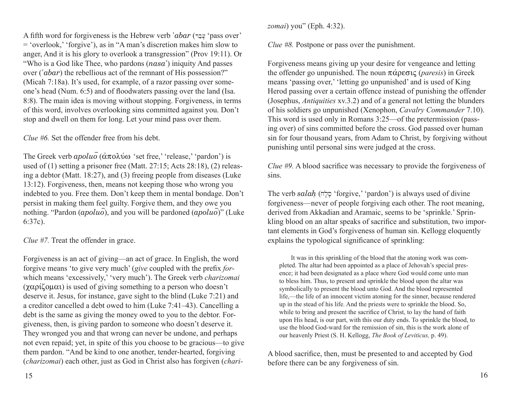A fifth word for forgiveness is the Hebrew verb 'abar (עבר 'pass over' = 'overlook,' 'forgive'), as in "A man's discretion makes him slow to anger, And it is his glory to overlook a transgression" (Prov 19:11). Or "Who is a God like Thee, who pardons  $(nasa)$  iniquity And passes over ( $\diamond$ abar) the rebellious act of the remnant of His possession?" (Micah 7:18a). It's used, for example, of a razor passing over someone's head (Num. 6:5) and of floodwaters passing over the land (Isa. 8:8). The main idea is moving without stopping. Forgiveness, in terms of this word, involves overlooking sins committed against you. Don't stop and dwell on them for long. Let your mind pass over them.

*Clue #6.* Set the offender free from his debt.

The Greek verb  $apolu\overline{o}$  ( $\alpha\pi o\lambda\overline{o}$ ) 'set free,' 'release,' 'pardon') is used of (1) setting a prisoner free (Matt. 27:15; Acts 28:18), (2) releasing a debtor (Matt. 18:27), and (3) freeing people from diseases (Luke 13:12). Forgiveness, then, means not keeping those who wrong you indebted to you. Free them. Don't keep them in mental bondage. Don't persist in making them feel guilty. Forgive them, and they owe you nothing. "Pardon (apoluo), and you will be pardoned (apoluo)" (Luke 6:37c).

*Clue #7.* Treat the offender in grace.

Forgiveness is an act of giving—an act of grace. In English, the word forgive means 'to give very much' (*give* coupled with the prefix *for*which means 'excessively,' 'very much'). The Greek verb *charizomai*  $(\chi \alpha \rho i \zeta \rho \mu \alpha \iota)$  is used of giving something to a person who doesn't deserve it. Jesus, for instance, gave sight to the blind (Luke 7:21) and a creditor cancelled a debt owed to him (Luke 7:41–43). Cancelling a debt is the same as giving the money owed to you to the debtor. Forgiveness, then, is giving pardon to someone who doesn't deserve it. They wronged you and that wrong can never be undone, and perhaps not even repaid; yet, in spite of this you choose to be gracious—to give them pardon. "And be kind to one another, tender-hearted, forgiving (*charizomai*) each other, just as God in Christ also has forgiven (*chari-* *zomai*) you" (Eph. 4:32).

*Clue #8.* Postpone or pass over the punishment.

Forgiveness means giving up your desire for vengeance and letting the offender go unpunished. The noun  $\pi\acute{\alpha}$  peo $\iota$  (*paresis*) in Greek means 'passing over,' 'letting go unpunished' and is used of King Herod passing over a certain offence instead of punishing the offender (Josephus, *Antiquities* xv.3.2) and of a general not letting the blunders of his soldiers go unpunished (Xenophon, *Cavalry Commander* 7.10). This word is used only in Romans 3:25—of the pretermission (passing over) of sins committed before the cross. God passed over human sin for four thousand years, from Adam to Christ, by forgiving without punishing until personal sins were judged at the cross.

*Clue #9.* A blood sacrifice was necessary to provide the forgiveness of sins.

The verb salah (הָלֶה) 'forgive,' 'pardon') is always used of divine forgiveness—never of people forgiving each other. The root meaning, derived from Akkadian and Aramaic, seems to be 'sprinkle.' Sprinkling blood on an altar speaks of sacrifice and substitution, two important elements in God's forgiveness of human sin. Kellogg eloquently explains the typological significance of sprinkling:

It was in this sprinkling of the blood that the atoning work was completed. The altar had been appointed as a place of Jehovah's special presence; it had been designated as a place where God would come unto man to bless him. Thus, to present and sprinkle the blood upon the altar was symbolically to present the blood unto God. And the blood represented life,—the life of an innocent victim atoning for the sinner, because rendered up in the stead of his life. And the priests were to sprinkle the blood. So, while to bring and present the sacrifice of Christ, to lay the hand of faith upon His head, is our part, with this our duty ends. To sprinkle the blood, to use the blood God-ward for the remission of sin, this is the work alone of our heavenly Priest (S. H. Kellogg, *The Book of Leviticus,* p. 49).

A blood sacrifice, then, must be presented to and accepted by God before there can be any forgiveness of sin.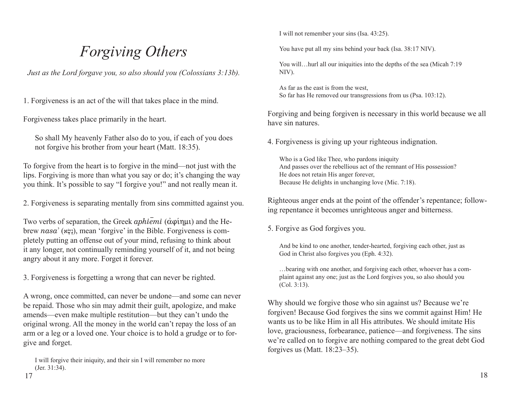### *Forgiving Others*

*Just as the Lord forgave you, so also should you (Colossians 3:13b).*

1. Forgiveness is an act of the will that takes place in the mind.

Forgiveness takes place primarily in the heart.

So shall My heavenly Father also do to you, if each of you does not forgive his brother from your heart (Matt. 18:35).

To forgive from the heart is to forgive in the mind—not just with the lips. Forgiving is more than what you say or do; it's changing the way you think. It's possible to say "I forgive you!" and not really mean it.

2. Forgiveness is separating mentally from sins committed against you.

Two verbs of separation, the Greek  $aphi\overline{emi}$  ( $\alpha\phi(\eta\mu\iota)$ ) and the Hebrew  $nasa^{\prime}$  ( $x\ddot{x}$ ), mean 'forgive' in the Bible. Forgiveness is completely putting an offense out of your mind, refusing to think about it any longer, not continually reminding yourself of it, and not being angry about it any more. Forget it forever.

3. Forgiveness is forgetting a wrong that can never be righted.

A wrong, once committed, can never be undone—and some can never be repaid. Those who sin may admit their guilt, apologize, and make amends—even make multiple restitution—but they can't undo the original wrong. All the money in the world can't repay the loss of an arm or a leg or a loved one. Your choice is to hold a grudge or to forgive and forget.

I will forgive their iniquity, and their sin I will remember no more (Jer. 31:34).

I will not remember your sins (Isa. 43:25).

You have put all my sins behind your back (Isa. 38:17 NIV).

You will…hurl all our iniquities into the depths of the sea (Micah 7:19 NIV).

As far as the east is from the west, So far has He removed our transgressions from us (Psa. 103:12).

Forgiving and being forgiven is necessary in this world because we all have sin natures.

4. Forgiveness is giving up your righteous indignation.

Who is a God like Thee, who pardons iniquity And passes over the rebellious act of the remnant of His possession? He does not retain His anger forever, Because He delights in unchanging love (Mic. 7:18).

Righteous anger ends at the point of the offender's repentance; following repentance it becomes unrighteous anger and bitterness.

5. Forgive as God forgives you.

And be kind to one another, tender-hearted, forgiving each other, just as God in Christ also forgives you (Eph. 4:32).

…bearing with one another, and forgiving each other, whoever has a complaint against any one; just as the Lord forgives you, so also should you (Col. 3:13).

Why should we forgive those who sin against us? Because we're forgiven! Because God forgives the sins we commit against Him! He wants us to be like Him in all His attributes. We should imitate His love, graciousness, forbearance, patience—and forgiveness. The sins we're called on to forgive are nothing compared to the great debt God forgives us (Matt. 18:23–35).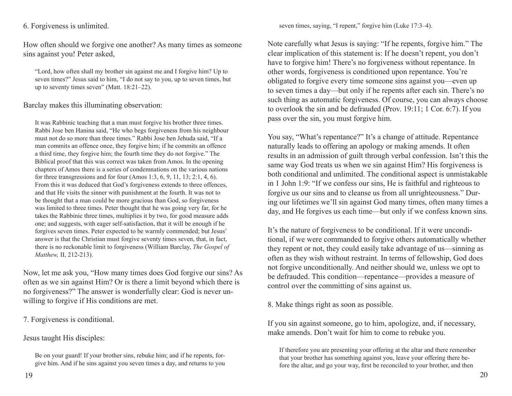6. Forgiveness is unlimited.

How often should we forgive one another? As many times as someone sins against you! Peter asked,

"Lord, how often shall my brother sin against me and I forgive him? Up to seven times?" Jesus said to him, "I do not say to you, up to seven times, but up to seventy times seven" (Matt. 18:21–22).

Barclay makes this illuminating observation:

It was Rabbinic teaching that a man must forgive his brother three times. Rabbi Jose ben Hanina said, "He who begs forgiveness from his neighbour must not do so more than three times." Rabbi Jose ben Jehuda said, "If a man commits an offence once, they forgive him; if he commits an offence a third time, they forgive him; the fourth time they do not forgive." The Biblical proof that this was correct was taken from Amos. In the opening chapters of Amos there is a series of condemnations on the various nations for three transgressions and for four (Amos 1:3, 6, 9, 11, 13; 2:1, 4, 6). From this it was deduced that God's forgiveness extends to three offences, and that He visits the sinner with punishment at the fourth. It was not to be thought that a man could be more gracious than God, so forgiveness was limited to three times. Peter thought that he was going very far, for he takes the Rabbinic three times, multiplies it by two, for good measure adds one; and suggests, with eager self-satisfaction, that it will be enough if he forgives seven times. Peter expected to be warmly commended; but Jesus' answer is that the Christian must forgive seventy times seven, that, in fact, there is no reckonable limit to forgiveness (William Barclay, *The Gospel of Matthew,* II, 212-213).

Now, let me ask you, "How many times does God forgive our sins? As often as we sin against Him? Or is there a limit beyond which there is no forgiveness?" The answer is wonderfully clear: God is never unwilling to forgive if His conditions are met.

7. Forgiveness is conditional.

Jesus taught His disciples:

Be on your guard! If your brother sins, rebuke him; and if he repents, forgive him. And if he sins against you seven times a day, and returns to you seven times, saying, "I repent," forgive him (Luke 17:3–4).

Note carefully what Jesus is saying: "If he repents, forgive him." The clear implication of this statement is: If he doesn't repent, you don't have to forgive him! There's no forgiveness without repentance. In other words, forgiveness is conditioned upon repentance. You're obligated to forgive every time someone sins against you—even up to seven times a day—but only if he repents after each sin. There's no such thing as automatic forgiveness. Of course, you can always choose to overlook the sin and be defrauded (Prov. 19:11; 1 Cor. 6:7). If you pass over the sin, you must forgive him.

You say, "What's repentance?" It's a change of attitude. Repentance naturally leads to offering an apology or making amends. It often results in an admission of guilt through verbal confession. Isn't this the same way God treats us when we sin against Him? His forgiveness is both conditional and unlimited. The conditional aspect is unmistakable in 1 John 1:9: "If we confess our sins, He is faithful and righteous to forgive us our sins and to cleanse us from all unrighteousness." During our lifetimes we'll sin against God many times, often many times a day, and He forgives us each time—but only if we confess known sins.

It's the nature of forgiveness to be conditional. If it were unconditional, if we were commanded to forgive others automatically whether they repent or not, they could easily take advantage of us—sinning as often as they wish without restraint. In terms of fellowship, God does not forgive unconditionally. And neither should we, unless we opt to be defrauded. This condition—repentance—provides a measure of control over the committing of sins against us.

8. Make things right as soon as possible.

If you sin against someone, go to him, apologize, and, if necessary, make amends. Don't wait for him to come to rebuke you.

If therefore you are presenting your offering at the altar and there remember that your brother has something against you, leave your offering there before the altar, and go your way, first be reconciled to your brother, and then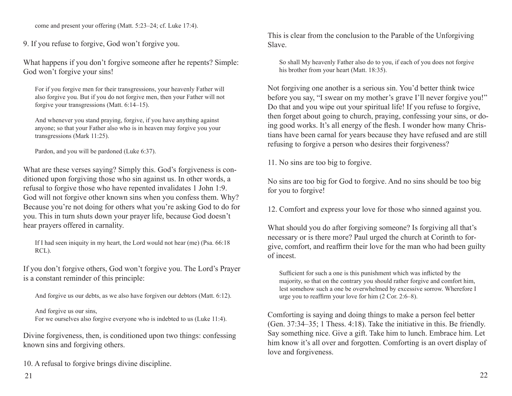come and present your offering (Matt. 5:23–24; cf. Luke 17:4).

9. If you refuse to forgive, God won't forgive you.

What happens if you don't forgive someone after he repents? Simple: God won't forgive your sins!

For if you forgive men for their transgressions, your heavenly Father will also forgive you. But if you do not forgive men, then your Father will not forgive your transgressions (Matt. 6:14–15).

And whenever you stand praying, forgive, if you have anything against anyone; so that your Father also who is in heaven may forgive you your transgressions (Mark 11:25).

Pardon, and you will be pardoned (Luke 6:37).

What are these verses saying? Simply this. God's forgiveness is conditioned upon forgiving those who sin against us. In other words, a refusal to forgive those who have repented invalidates 1 John 1:9. God will not forgive other known sins when you confess them. Why? Because you're not doing for others what you're asking God to do for you. This in turn shuts down your prayer life, because God doesn't hear prayers offered in carnality.

If I had seen iniquity in my heart, the Lord would not hear (me) (Psa. 66:18 RCL).

If you don't forgive others, God won't forgive you. The Lord's Prayer is a constant reminder of this principle:

And forgive us our debts, as we also have forgiven our debtors (Matt. 6:12).

And forgive us our sins, For we ourselves also forgive everyone who is indebted to us (Luke 11:4).

Divine forgiveness, then, is conditioned upon two things: confessing known sins and forgiving others.

10. A refusal to forgive brings divine discipline.

This is clear from the conclusion to the Parable of the Unforgiving Slave.

So shall My heavenly Father also do to you, if each of you does not forgive his brother from your heart (Matt. 18:35).

Not forgiving one another is a serious sin. You'd better think twice before you say, "I swear on my mother's grave I'll never forgive you!" Do that and you wipe out your spiritual life! If you refuse to forgive, then forget about going to church, praying, confessing your sins, or doing good works. It's all energy of the flesh. I wonder how many Christians have been carnal for years because they have refused and are still refusing to forgive a person who desires their forgiveness?

11. No sins are too big to forgive.

No sins are too big for God to forgive. And no sins should be too big for you to forgive!

12. Comfort and express your love for those who sinned against you.

What should you do after forgiving someone? Is forgiving all that's necessary or is there more? Paul urged the church at Corinth to forgive, comfort, and reaffirm their love for the man who had been guilty of incest.

Sufficient for such a one is this punishment which was inflicted by the majority, so that on the contrary you should rather forgive and comfort him, lest somehow such a one be overwhelmed by excessive sorrow. Wherefore I urge you to reaffirm your love for him (2 Cor. 2:6–8).

Comforting is saying and doing things to make a person feel better (Gen. 37:34–35; 1 Thess. 4:18). Take the initiative in this. Be friendly. Say something nice. Give a gift. Take him to lunch. Embrace him. Let him know it's all over and forgotten. Comforting is an overt display of love and forgiveness.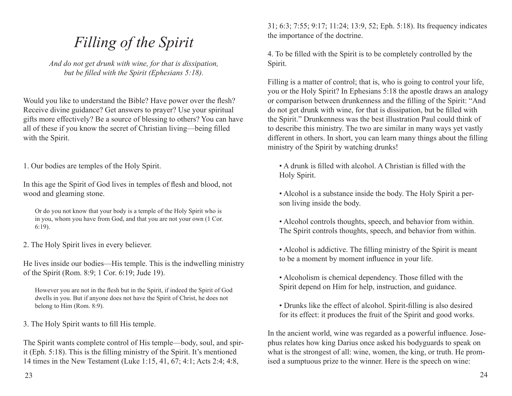## *Filling of the Spirit*

*And do not get drunk with wine, for that is dissipation, but be filled with the Spirit (Ephesians 5:18).*

Would you like to understand the Bible? Have power over the flesh? Receive divine guidance? Get answers to prayer? Use your spiritual gifts more effectively? Be a source of blessing to others? You can have all of these if you know the secret of Christian living—being filled with the Spirit.

1. Our bodies are temples of the Holy Spirit.

In this age the Spirit of God lives in temples of flesh and blood, not wood and gleaming stone.

Or do you not know that your body is a temple of the Holy Spirit who is in you, whom you have from God, and that you are not your own (1 Cor. 6:19).

2. The Holy Spirit lives in every believer.

He lives inside our bodies—His temple. This is the indwelling ministry of the Spirit (Rom. 8:9; 1 Cor. 6:19; Jude 19).

However you are not in the flesh but in the Spirit, if indeed the Spirit of God dwells in you. But if anyone does not have the Spirit of Christ, he does not belong to Him (Rom. 8:9).

3. The Holy Spirit wants to fill His temple.

The Spirit wants complete control of His temple—body, soul, and spirit (Eph. 5:18). This is the filling ministry of the Spirit. It's mentioned 14 times in the New Testament (Luke 1:15, 41, 67; 4:1; Acts 2:4; 4:8,

31; 6:3; 7:55; 9:17; 11:24; 13:9, 52; Eph. 5:18). Its frequency indicates the importance of the doctrine.

4. To be filled with the Spirit is to be completely controlled by the Spirit.

Filling is a matter of control; that is, who is going to control your life, you or the Holy Spirit? In Ephesians 5:18 the apostle draws an analogy or comparison between drunkenness and the filling of the Spirit: "And do not get drunk with wine, for that is dissipation, but be filled with the Spirit." Drunkenness was the best illustration Paul could think of to describe this ministry. The two are similar in many ways yet vastly different in others. In short, you can learn many things about the filling ministry of the Spirit by watching drunks!

• A drunk is filled with alcohol. A Christian is filled with the Holy Spirit.

• Alcohol is a substance inside the body. The Holy Spirit a person living inside the body.

- Alcohol controls thoughts, speech, and behavior from within. The Spirit controls thoughts, speech, and behavior from within.
- Alcohol is addictive. The filling ministry of the Spirit is meant to be a moment by moment influence in your life.
- Alcoholism is chemical dependency. Those filled with the Spirit depend on Him for help, instruction, and guidance.
- Drunks like the effect of alcohol. Spirit-filling is also desired for its effect: it produces the fruit of the Spirit and good works.

In the ancient world, wine was regarded as a powerful influence. Josephus relates how king Darius once asked his bodyguards to speak on what is the strongest of all: wine, women, the king, or truth. He promised a sumptuous prize to the winner. Here is the speech on wine: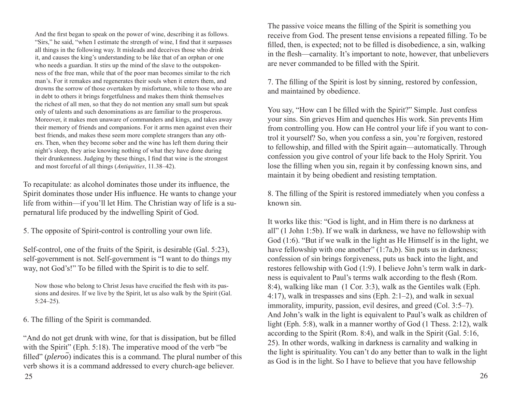And the first began to speak on the power of wine, describing it as follows. "Sirs," he said, "when I estimate the strength of wine, I find that it surpasses all things in the following way. It misleads and deceives those who drink it, and causes the king's understanding to be like that of an orphan or one who needs a guardian. It stirs up the mind of the slave to the outspokenness of the free man, while that of the poor man becomes similar to the rich man's. For it remakes and regenerates their souls when it enters them, and drowns the sorrow of those overtaken by misfortune, while to those who are in debt to others it brings forgetfulness and makes them think themselves the richest of all men, so that they do not mention any small sum but speak only of talents and such denominations as are familiar to the prosperous. Moreover, it makes men unaware of commanders and kings, and takes away their memory of friends and companions. For it arms men against even their best friends, and makes these seem more complete strangers than any others. Then, when they become sober and the wine has left them during their night's sleep, they arise knowing nothing of what they have done during their drunkenness. Judging by these things, I find that wine is the strongest and most forceful of all things (*Antiquities*, 11.38–42).

To recapitulate: as alcohol dominates those under its influence, the Spirit dominates those under His influence. He wants to change your life from within—if you'll let Him. The Christian way of life is a supernatural life produced by the indwelling Spirit of God.

5. The opposite of Spirit-control is controlling your own life.

Self-control, one of the fruits of the Spirit, is desirable (Gal. 5:23), self-government is not. Self-government is "I want to do things my way, not God's!" To be filled with the Spirit is to die to self.

Now those who belong to Christ Jesus have crucified the flesh with its passions and desires. If we live by the Spirit, let us also walk by the Spirit (Gal. 5:24–25).

6. The filling of the Spirit is commanded.

"And do not get drunk with wine, for that is dissipation, but be filled with the Spirit" (Eph. 5:18). The imperative mood of the verb "be" filled" (pleroo) indicates this is a command. The plural number of this verb shows it is a command addressed to every church-age believer.

The passive voice means the filling of the Spirit is something you receive from God. The present tense envisions a repeated filling. To be filled, then, is expected; not to be filled is disobedience, a sin, walking in the flesh—carnality. It's important to note, however, that unbelievers are never commanded to be filled with the Spirit.

7. The filling of the Spirit is lost by sinning, restored by confession, and maintained by obedience.

You say, "How can I be filled with the Spirit?" Simple. Just confess your sins. Sin grieves Him and quenches His work. Sin prevents Him from controlling you. How can He control your life if you want to control it yourself? So, when you confess a sin, you're forgiven, restored to fellowship, and filled with the Spirit again—automatically. Through confession you give control of your life back to the Holy Spririt. You lose the filling when you sin, regain it by confessing known sins, and maintain it by being obedient and resisting temptation.

8. The filling of the Spirit is restored immediately when you confess a known sin.

It works like this: "God is light, and in Him there is no darkness at all" (1 John 1:5b). If we walk in darkness, we have no fellowship with God (1:6). "But if we walk in the light as He Himself is in the light, we have fellowship with one another" (1:7a,b). Sin puts us in darkness; confession of sin brings forgiveness, puts us back into the light, and restores fellowship with God (1:9). I believe John's term walk in darkness is equivalent to Paul's terms walk according to the flesh (Rom. 8:4), walking like man (1 Cor. 3:3), walk as the Gentiles walk (Eph. 4:17), walk in trespasses and sins (Eph. 2:1–2), and walk in sexual immorality, impurity, passion, evil desires, and greed (Col. 3:5–7). And John's walk in the light is equivalent to Paul's walk as children of light (Eph. 5:8), walk in a manner worthy of God (1 Thess. 2:12), walk according to the Spirit (Rom. 8:4), and walk in the Spirit (Gal. 5:16, 25). In other words, walking in darkness is carnality and walking in the light is spirituality. You can't do any better than to walk in the light as God is in the light. So I have to believe that you have fellowship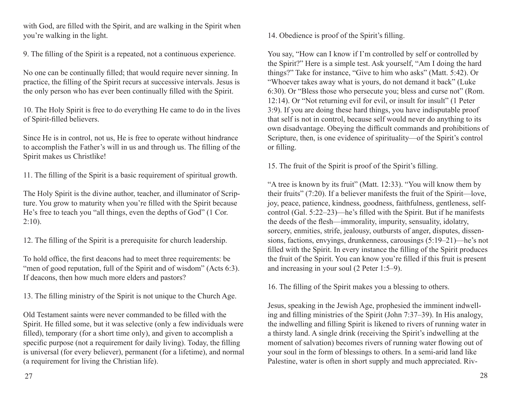with God, are filled with the Spirit, and are walking in the Spirit when you're walking in the light.

9. The filling of the Spirit is a repeated, not a continuous experience.

No one can be continually filled; that would require never sinning. In practice, the filling of the Spirit recurs at successive intervals. Jesus is the only person who has ever been continually filled with the Spirit.

10. The Holy Spirit is free to do everything He came to do in the lives of Spirit-filled believers.

Since He is in control, not us, He is free to operate without hindrance to accomplish the Father's will in us and through us. The filling of the Spirit makes us Christlike!

11. The filling of the Spirit is a basic requirement of spiritual growth.

The Holy Spirit is the divine author, teacher, and illuminator of Scripture. You grow to maturity when you're filled with the Spirit because He's free to teach you "all things, even the depths of God" (1 Cor.  $2:10$ ).

12. The filling of the Spirit is a prerequisite for church leadership.

To hold office, the first deacons had to meet three requirements: be "men of good reputation, full of the Spirit and of wisdom" (Acts 6:3). If deacons, then how much more elders and pastors?

13. The filling ministry of the Spirit is not unique to the Church Age.

Old Testament saints were never commanded to be filled with the Spirit. He filled some, but it was selective (only a few individuals were filled), temporary (for a short time only), and given to accomplish a specific purpose (not a requirement for daily living). Today, the filling is universal (for every believer), permanent (for a lifetime), and normal (a requirement for living the Christian life).

14. Obedience is proof of the Spirit's filling.

You say, "How can I know if I'm controlled by self or controlled by the Spirit?" Here is a simple test. Ask yourself, "Am I doing the hard things?" Take for instance, "Give to him who asks" (Matt. 5:42). Or "Whoever takes away what is yours, do not demand it back" (Luke 6:30). Or "Bless those who persecute you; bless and curse not" (Rom. 12:14). Or "Not returning evil for evil, or insult for insult" (1 Peter 3:9). If you are doing these hard things, you have indisputable proof that self is not in control, because self would never do anything to its own disadvantage. Obeying the difficult commands and prohibitions of Scripture, then, is one evidence of spirituality—of the Spirit's control or filling.

15. The fruit of the Spirit is proof of the Spirit's filling.

"A tree is known by its fruit" (Matt. 12:33). "You will know them by their fruits" (7:20). If a believer manifests the fruit of the Spirit—love, joy, peace, patience, kindness, goodness, faithfulness, gentleness, selfcontrol (Gal. 5:22–23)—he's filled with the Spirit. But if he manifests the deeds of the flesh—immorality, impurity, sensuality, idolatry, sorcery, enmities, strife, jealousy, outbursts of anger, disputes, dissensions, factions, envyings, drunkenness, carousings (5:19–21)—he's not filled with the Spirit. In every instance the filling of the Spirit produces the fruit of the Spirit. You can know you're filled if this fruit is present and increasing in your soul (2 Peter 1:5–9).

16. The filling of the Spirit makes you a blessing to others.

Jesus, speaking in the Jewish Age, prophesied the imminent indwelling and filling ministries of the Spirit (John 7:37–39). In His analogy, the indwelling and filling Spirit is likened to rivers of running water in a thirsty land. A single drink (receiving the Spirit's indwelling at the moment of salvation) becomes rivers of running water flowing out of your soul in the form of blessings to others. In a semi-arid land like Palestine, water is often in short supply and much appreciated. Riv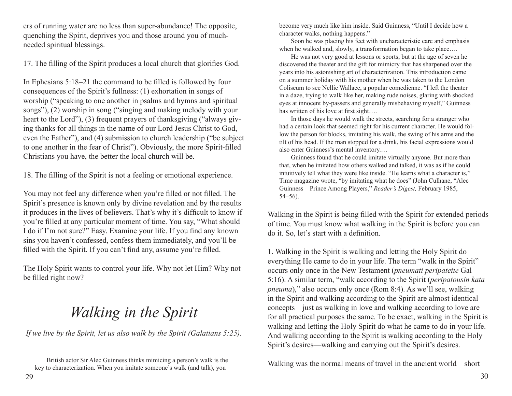ers of running water are no less than super-abundance! The opposite, quenching the Spirit, deprives you and those around you of muchneeded spiritual blessings.

17. The filling of the Spirit produces a local church that glorifies God.

In Ephesians 5:18–21 the command to be filled is followed by four consequences of the Spirit's fullness: (1) exhortation in songs of worship ("speaking to one another in psalms and hymns and spiritual songs"), (2) worship in song ("singing and making melody with your heart to the Lord"), (3) frequent prayers of thanksgiving ("always giving thanks for all things in the name of our Lord Jesus Christ to God, even the Father"), and (4) submission to church leadership ("be subject to one another in the fear of Christ"). Obviously, the more Spirit-filled Christians you have, the better the local church will be.

18. The filling of the Spirit is not a feeling or emotional experience.

You may not feel any difference when you're filled or not filled. The Spirit's presence is known only by divine revelation and by the results it produces in the lives of believers. That's why it's difficult to know if you're filled at any particular moment of time. You say, "What should I do if I'm not sure?" Easy. Examine your life. If you find any known sins you haven't confessed, confess them immediately, and you'll be filled with the Spirit. If you can't find any, assume you're filled.

The Holy Spirit wants to control your life. Why not let Him? Why not be filled right now?

## *Walking in the Spirit*

*If we live by the Spirit, let us also walk by the Spirit (Galatians 5:25).*

British actor Sir Alec Guinness thinks mimicing a person's walk is the key to characterization. When you imitate someone's walk (and talk), you

become very much like him inside. Said Guinness, "Until I decide how a character walks, nothing happens."

Soon he was placing his feet with uncharacteristic care and emphasis when he walked and, slowly, a transformation began to take place....

He was not very good at lessons or sports, but at the age of seven he discovered the theater and the gift for mimicry that has sharpened over the years into his astonishing art of characterization. This introduction came on a summer holiday with his mother when he was taken to the London Coliseum to see Nellie Wallace, a popular comedienne. "I left the theater in a daze, trying to walk like her, making rude noises, glaring with shocked eyes at innocent by-passers and generally misbehaving myself," Guinness has written of his love at first sight….

In those days he would walk the streets, searching for a stranger who had a certain look that seemed right for his current character. He would follow the person for blocks, imitating his walk, the swing of his arms and the tilt of his head. If the man stopped for a drink, his facial expressions would also enter Guinness's mental inventory.…

Guinness found that he could imitate virtually anyone. But more than that, when he imitated how others walked and talked, it was as if he could intuitively tell what they were like inside. "He learns what a character is," Time magazine wrote, "by imitating what he does" (John Culhane, "Alec Guinness—Prince Among Players," *Reader's Digest,* February 1985, 54–56).

Walking in the Spirit is being filled with the Spirit for extended periods of time. You must know what walking in the Spirit is before you can do it. So, let's start with a definition.

1. Walking in the Spirit is walking and letting the Holy Spirit do everything He came to do in your life. The term "walk in the Spirit" occurs only once in the New Testament (*pneumati peripateite* Gal 5:16). A similar term, "walk according to the Spirit (*peripatousin kata pneuma*)," also occurs only once (Rom 8:4). As we'll see, walking in the Spirit and walking according to the Spirit are almost identical concepts—just as walking in love and walking according to love are for all practical purposes the same. To be exact, walking in the Spirit is walking and letting the Holy Spirit do what he came to do in your life. And walking according to the Spirit is walking according to the Holy Spirit's desires—walking and carrying out the Spirit's desires.

Walking was the normal means of travel in the ancient world—short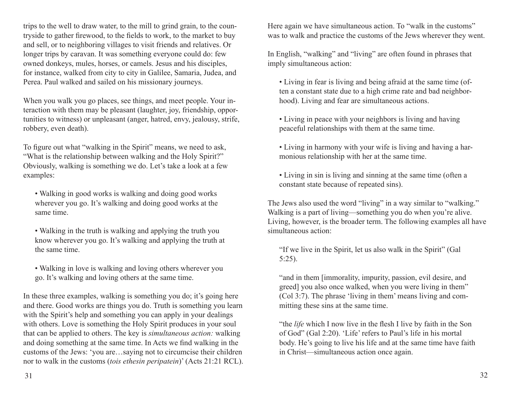trips to the well to draw water, to the mill to grind grain, to the countryside to gather firewood, to the fields to work, to the market to buy and sell, or to neighboring villages to visit friends and relatives. Or longer trips by caravan. It was something everyone could do: few owned donkeys, mules, horses, or camels. Jesus and his disciples, for instance, walked from city to city in Galilee, Samaria, Judea, and Perea. Paul walked and sailed on his missionary journeys.

When you walk you go places, see things, and meet people. Your interaction with them may be pleasant (laughter, joy, friendship, opportunities to witness) or unpleasant (anger, hatred, envy, jealousy, strife, robbery, even death).

To figure out what "walking in the Spirit" means, we need to ask, "What is the relationship between walking and the Holy Spirit?" Obviously, walking is something we do. Let's take a look at a few examples:

- Walking in good works is walking and doing good works wherever you go. It's walking and doing good works at the same time.
- Walking in the truth is walking and applying the truth you know wherever you go. It's walking and applying the truth at the same time.
- Walking in love is walking and loving others wherever you go. It's walking and loving others at the same time.

In these three examples, walking is something you do; it's going here and there. Good works are things you do. Truth is something you learn with the Spirit's help and something you can apply in your dealings with others. Love is something the Holy Spirit produces in your soul that can be applied to others. The key is *simultaneous action:* walking and doing something at the same time. In Acts we find walking in the customs of the Jews: 'you are…saying not to circumcise their children nor to walk in the customs (*tois ethesin peripatein*)' (Acts 21:21 RCL). Here again we have simultaneous action. To "walk in the customs" was to walk and practice the customs of the Jews wherever they went.

In English, "walking" and "living" are often found in phrases that imply simultaneous action:

- Living in fear is living and being afraid at the same time (often a constant state due to a high crime rate and bad neighborhood). Living and fear are simultaneous actions.
- Living in peace with your neighbors is living and having peaceful relationships with them at the same time.
- Living in harmony with your wife is living and having a harmonious relationship with her at the same time.
- Living in sin is living and sinning at the same time (often a constant state because of repeated sins).

The Jews also used the word "living" in a way similar to "walking." Walking is a part of living—something you do when you're alive. Living, however, is the broader term. The following examples all have simultaneous action:

"If we live in the Spirit, let us also walk in the Spirit" (Gal 5:25).

"and in them [immorality, impurity, passion, evil desire, and greed] you also once walked, when you were living in them" (Col 3:7). The phrase 'living in them' means living and committing these sins at the same time.

"the *life* which I now live in the flesh I live by faith in the Son of God" (Gal 2:20). 'Life' refers to Paul's life in his mortal body. He's going to live his life and at the same time have faith in Christ—simultaneous action once again.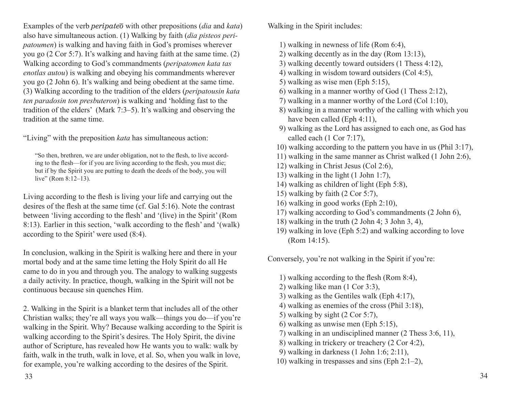Examples of the verb *peripate*<sup> $\overline{o}$ </sup> with other prepositions (*dia* and *kata*) also have simultaneous action. (1) Walking by faith (*dia pisteos peripatoumen*) is walking and having faith in God's promises wherever you go (2 Cor 5:7). It's walking and having faith at the same time. (2) Walking according to God's commandments (*peripatomen kata tas enotlas autou*) is walking and obeying his commandments wherever you go (2 John 6). It's walking and being obedient at the same time. (3) Walking according to the tradition of the elders (*peripatousin kata ten paradosin ton presbuteron*) is walking and 'holding fast to the tradition of the elders' (Mark 7:3–5). It's walking and observing the tradition at the same time.

"Living" with the preposition *kata* has simultaneous action:

"So then, brethren, we are under obligation, not to the flesh, to live according to the flesh—for if you are living according to the flesh, you must die; but if by the Spirit you are putting to death the deeds of the body, you will live" (Rom 8:12–13).

Living according to the flesh is living your life and carrying out the desires of the flesh at the same time (cf. Gal 5:16). Note the contrast between 'living according to the flesh' and '(live) in the Spirit' (Rom 8:13). Earlier in this section, 'walk according to the flesh' and '(walk) according to the Spirit' were used (8:4).

In conclusion, walking in the Spirit is walking here and there in your mortal body and at the same time letting the Holy Spirit do all He came to do in you and through you. The analogy to walking suggests a daily activity. In practice, though, walking in the Spirit will not be continuous because sin quenches Him.

2. Walking in the Spirit is a blanket term that includes all of the other Christian walks; they're all ways you walk—things you do—if you're walking in the Spirit. Why? Because walking according to the Spirit is walking according to the Spirit's desires. The Holy Spirit, the divine author of Scripture, has revealed how He wants you to walk: walk by faith, walk in the truth, walk in love, et al. So, when you walk in love, for example, you're walking according to the desires of the Spirit.

Walking in the Spirit includes:

- 1) walking in newness of life (Rom 6:4),
- 2) walking decently as in the day (Rom 13:13),
- 3) walking decently toward outsiders (1 Thess 4:12),
- 4) walking in wisdom toward outsiders (Col 4:5),
- 5) walking as wise men (Eph 5:15),
- 6) walking in a manner worthy of God (1 Thess 2:12),
- 7) walking in a manner worthy of the Lord (Col 1:10),
- 8) walking in a manner worthy of the calling with which you have been called (Eph 4:11),
- 9) walking as the Lord has assigned to each one, as God has called each (1 Cor 7:17),
- 10) walking according to the pattern you have in us (Phil 3:17),
- 11) walking in the same manner as Christ walked (1 John 2:6),
- 12) walking in Christ Jesus (Col 2:6),
- 13) walking in the light (1 John 1:7),
- 14) walking as children of light (Eph 5:8),
- 15) walking by faith (2 Cor 5:7),
- 16) walking in good works (Eph 2:10),
- 17) walking according to God's commandments (2 John 6),
- 18) walking in the truth (2 John 4; 3 John 3, 4),
- 19) walking in love (Eph 5:2) and walking according to love (Rom 14:15).

Conversely, you're not walking in the Spirit if you're:

1) walking according to the flesh (Rom 8:4), 2) walking like man (1 Cor 3:3), 3) walking as the Gentiles walk (Eph 4:17), 4) walking as enemies of the cross (Phil 3:18), 5) walking by sight (2 Cor 5:7), 6) walking as unwise men (Eph 5:15), 7) walking in an undisciplined manner (2 Thess 3:6, 11), 8) walking in trickery or treachery (2 Cor 4:2), 9) walking in darkness (1 John 1:6; 2:11),

10) walking in trespasses and sins (Eph 2:1–2),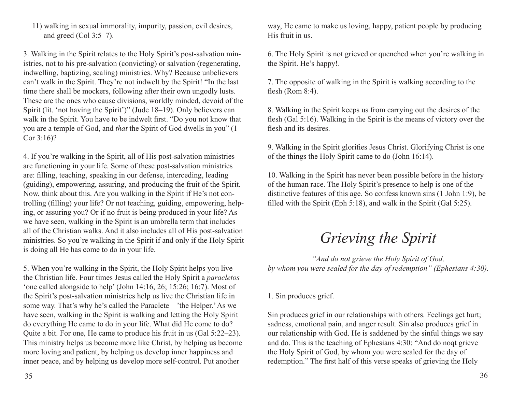11) walking in sexual immorality, impurity, passion, evil desires, and greed (Col 3:5–7).

3. Walking in the Spirit relates to the Holy Spirit's post-salvation ministries, not to his pre-salvation (convicting) or salvation (regenerating, indwelling, baptizing, sealing) ministries. Why? Because unbelievers can't walk in the Spirit. They're not indwelt by the Spirit! "In the last time there shall be mockers, following after their own ungodly lusts. These are the ones who cause divisions, worldly minded, devoid of the Spirit (lit. 'not having the Spirit')" (Jude 18–19). Only believers can walk in the Spirit. You have to be indwelt first. "Do you not know that you are a temple of God, and *that* the Spirit of God dwells in you" (1 Cor 3:16)?

4. If you're walking in the Spirit, all of His post-salvation ministries are functioning in your life. Some of these post-salvation ministries are: filling, teaching, speaking in our defense, interceding, leading (guiding), empowering, assuring, and producing the fruit of the Spirit. Now, think about this. Are you walking in the Spirit if He's not controlling (filling) your life? Or not teaching, guiding, empowering, helping, or assuring you? Or if no fruit is being produced in your life? As we have seen, walking in the Spirit is an umbrella term that includes all of the Christian walks. And it also includes all of His post-salvation ministries. So you're walking in the Spirit if and only if the Holy Spirit is doing all He has come to do in your life.

5. When you're walking in the Spirit, the Holy Spirit helps you live the Christian life. Four times Jesus called the Holy Spirit a *paracletos* 'one called alongside to help' (John 14:16, 26; 15:26; 16:7). Most of the Spirit's post-salvation ministries help us live the Christian life in some way. That's why he's called the Paraclete—'the Helper.' As we have seen, walking in the Spirit is walking and letting the Holy Spirit do everything He came to do in your life. What did He come to do? Quite a bit. For one, He came to produce his fruit in us (Gal 5:22–23). This ministry helps us become more like Christ, by helping us become more loving and patient, by helping us develop inner happiness and inner peace, and by helping us develop more self-control. Put another

way, He came to make us loving, happy, patient people by producing His fruit in us.

6. The Holy Spirit is not grieved or quenched when you're walking in the Spirit. He's happy!.

7. The opposite of walking in the Spirit is walking according to the flesh (Rom 8:4).

8. Walking in the Spirit keeps us from carrying out the desires of the flesh (Gal 5:16). Walking in the Spirit is the means of victory over the flesh and its desires.

9. Walking in the Spirit glorifies Jesus Christ. Glorifying Christ is one of the things the Holy Spirit came to do (John 16:14).

10. Walking in the Spirit has never been possible before in the history of the human race. The Holy Spirit's presence to help is one of the distinctive features of this age. So confess known sins (1 John 1:9), be filled with the Spirit (Eph 5:18), and walk in the Spirit (Gal 5:25).

## *Grieving the Spirit*

*"And do not grieve the Holy Spirit of God, by whom you were sealed for the day of redemption" (Ephesians 4:30).*

#### 1. Sin produces grief.

Sin produces grief in our relationships with others. Feelings get hurt; sadness, emotional pain, and anger result. Sin also produces grief in our relationship with God. He is saddened by the sinful things we say and do. This is the teaching of Ephesians 4:30: "And do noqt grieve the Holy Spirit of God, by whom you were sealed for the day of redemption." The first half of this verse speaks of grieving the Holy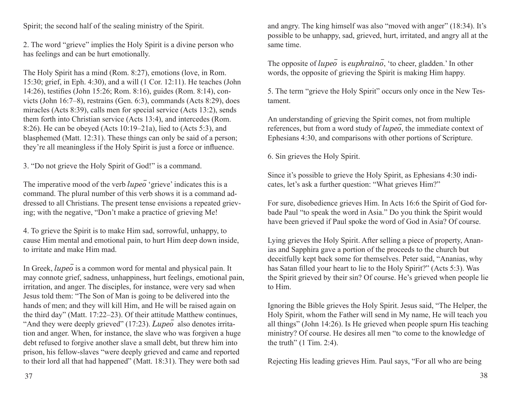Spirit; the second half of the sealing ministry of the Spirit.

2. The word "grieve" implies the Holy Spirit is a divine person who has feelings and can be hurt emotionally.

The Holy Spirit has a mind (Rom. 8:27), emotions (love, in Rom. 15:30; grief, in Eph. 4:30), and a will (1 Cor. 12:11). He teaches (John 14:26), testifies (John 15:26; Rom. 8:16), guides (Rom. 8:14), convicts (John 16:7–8), restrains (Gen. 6:3), commands (Acts 8:29), does miracles (Acts 8:39), calls men for special service (Acts 13:2), sends them forth into Christian service (Acts 13:4), and intercedes (Rom. 8:26). He can be obeyed (Acts 10:19–21a), lied to (Acts 5:3), and blasphemed (Matt. 12:31). These things can only be said of a person; they're all meaningless if the Holy Spirit is just a force or influence.

3. "Do not grieve the Holy Spirit of God!" is a command.

The imperative mood of the verb  $lupeo^{\dagger}$  'grieve' indicates this is a command. The plural number of this verb shows it is a command addressed to all Christians. The present tense envisions a repeated grieving; with the negative, "Don't make a practice of grieving Me!

4. To grieve the Spirit is to make Him sad, sorrowful, unhappy, to cause Him mental and emotional pain, to hurt Him deep down inside, to irritate and make Him mad.

In Greek,  $lupeo$  is a common word for mental and physical pain. It may connote grief, sadness, unhappiness, hurt feelings, emotional pain, irritation, and anger. The disciples, for instance, were very sad when Jesus told them: "The Son of Man is going to be delivered into the hands of men; and they will kill Him, and He will be raised again on the third day" (Matt. 17:22–23). Of their attitude Matthew continues, "And they were deeply grieved" (17:23).  $Lupeo\bar{o}$  also denotes irritation and anger. When, for instance, the slave who was forgiven a huge debt refused to forgive another slave a small debt, but threw him into prison, his fellow-slaves "were deeply grieved and came and reported to their lord all that had happened" (Matt. 18:31). They were both sad

and angry. The king himself was also "moved with anger" (18:34). It's possible to be unhappy, sad, grieved, hurt, irritated, and angry all at the same time.

The opposite of  $lupeo$  is euphraino, 'to cheer, gladden.' In other words, the opposite of grieving the Spirit is making Him happy.

5. The term "grieve the Holy Spirit" occurs only once in the New Testament.

An understanding of grieving the Spirit comes, not from multiple references, but from a word study of  $lupeo$ , the immediate context of Ephesians 4:30, and comparisons with other portions of Scripture.

6. Sin grieves the Holy Spirit.

Since it's possible to grieve the Holy Spirit, as Ephesians 4:30 indicates, let's ask a further question: "What grieves Him?"

For sure, disobedience grieves Him. In Acts 16:6 the Spirit of God forbade Paul "to speak the word in Asia." Do you think the Spirit would have been grieved if Paul spoke the word of God in Asia? Of course.

Lying grieves the Holy Spirit. After selling a piece of property, Ananias and Sapphira gave a portion of the proceeds to the church but deceitfully kept back some for themselves. Peter said, "Ananias, why has Satan filled your heart to lie to the Holy Spirit?" (Acts 5:3). Was the Spirit grieved by their sin? Of course. He's grieved when people lie to Him.

Ignoring the Bible grieves the Holy Spirit. Jesus said, "The Helper, the Holy Spirit, whom the Father will send in My name, He will teach you all things" (John 14:26). Is He grieved when people spurn His teaching ministry? Of course. He desires all men "to come to the knowledge of the truth" (1 Tim. 2:4).

Rejecting His leading grieves Him. Paul says, "For all who are being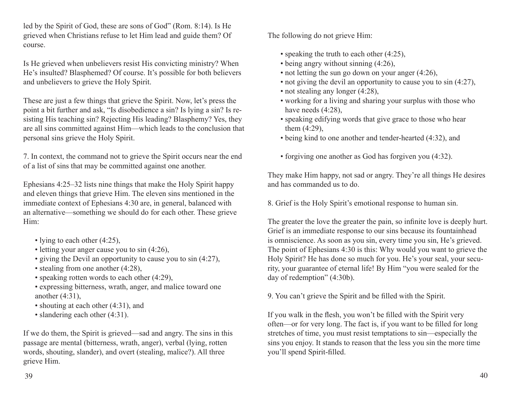led by the Spirit of God, these are sons of God" (Rom. 8:14). Is He grieved when Christians refuse to let Him lead and guide them? Of course.

Is He grieved when unbelievers resist His convicting ministry? When He's insulted? Blasphemed? Of course. It's possible for both believers and unbelievers to grieve the Holy Spirit.

These are just a few things that grieve the Spirit. Now, let's press the point a bit further and ask, "Is disobedience a sin? Is lying a sin? Is resisting His teaching sin? Rejecting His leading? Blasphemy? Yes, they are all sins committed against Him—which leads to the conclusion that personal sins grieve the Holy Spirit.

7. In context, the command not to grieve the Spirit occurs near the end of a list of sins that may be committed against one another.

Ephesians 4:25–32 lists nine things that make the Holy Spirit happy and eleven things that grieve Him. The eleven sins mentioned in the immediate context of Ephesians 4:30 are, in general, balanced with an alternative—something we should do for each other. These grieve Him:

- lying to each other (4:25),
- letting your anger cause you to sin  $(4:26)$ ,
- giving the Devil an opportunity to cause you to sin (4:27),
- stealing from one another  $(4:28)$ ,
- speaking rotten words to each other  $(4:29)$ ,
- expressing bitterness, wrath, anger, and malice toward one another (4:31),
- shouting at each other  $(4:31)$ , and
- slandering each other  $(4:31)$ .

If we do them, the Spirit is grieved—sad and angry. The sins in this passage are mental (bitterness, wrath, anger), verbal (lying, rotten words, shouting, slander), and overt (stealing, malice?). All three grieve Him.

The following do not grieve Him:

- speaking the truth to each other  $(4:25)$ ,
- being angry without sinning  $(4:26)$ ,
- not letting the sun go down on your anger (4:26),
- not giving the devil an opportunity to cause you to sin (4:27),
- not stealing any longer (4:28),
- working for a living and sharing your surplus with those who have needs  $(4:28)$ ,
- speaking edifying words that give grace to those who hear them (4:29),
- being kind to one another and tender-hearted (4:32), and
- forgiving one another as God has forgiven you (4:32).

They make Him happy, not sad or angry. They're all things He desires and has commanded us to do.

8. Grief is the Holy Spirit's emotional response to human sin.

The greater the love the greater the pain, so infinite love is deeply hurt. Grief is an immediate response to our sins because its fountainhead is omniscience. As soon as you sin, every time you sin, He's grieved. The point of Ephesians 4:30 is this: Why would you want to grieve the Holy Spirit? He has done so much for you. He's your seal, your security, your guarantee of eternal life! By Him "you were sealed for the day of redemption" (4:30b).

9. You can't grieve the Spirit and be filled with the Spirit.

If you walk in the flesh, you won't be filled with the Spirit very often—or for very long. The fact is, if you want to be filled for long stretches of time, you must resist temptations to sin—especially the sins you enjoy. It stands to reason that the less you sin the more time you'll spend Spirit-filled.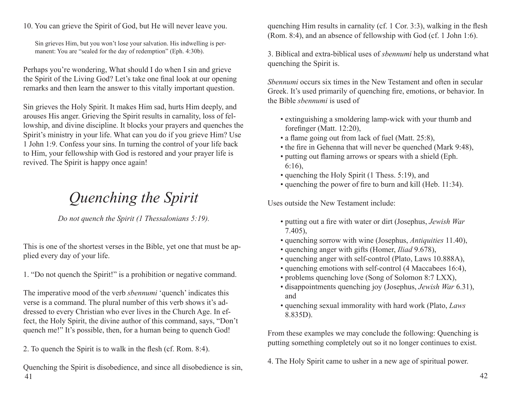10. You can grieve the Spirit of God, but He will never leave you.

Sin grieves Him, but you won't lose your salvation. His indwelling is permanent: You are "sealed for the day of redemption" (Eph. 4:30b).

Perhaps you're wondering, What should I do when I sin and grieve the Spirit of the Living God? Let's take one final look at our opening remarks and then learn the answer to this vitally important question.

Sin grieves the Holy Spirit. It makes Him sad, hurts Him deeply, and arouses His anger. Grieving the Spirit results in carnality, loss of fellowship, and divine discipline. It blocks your prayers and quenches the Spirit's ministry in your life. What can you do if you grieve Him? Use 1 John 1:9. Confess your sins. In turning the control of your life back to Him, your fellowship with God is restored and your prayer life is revived. The Spirit is happy once again!

## *Quenching the Spirit*

*Do not quench the Spirit (1 Thessalonians 5:19).*

This is one of the shortest verses in the Bible, yet one that must be applied every day of your life.

1. "Do not quench the Spirit!" is a prohibition or negative command.

The imperative mood of the verb *sbennumi* 'quench' indicates this verse is a command. The plural number of this verb shows it's addressed to every Christian who ever lives in the Church Age. In effect, the Holy Spirit, the divine author of this command, says, "Don't quench me!" It's possible, then, for a human being to quench God!

2. To quench the Spirit is to walk in the flesh (cf. Rom. 8:4).

Quenching the Spirit is disobedience, and since all disobedience is sin, 41 42

quenching Him results in carnality (cf. 1 Cor. 3:3), walking in the flesh (Rom. 8:4), and an absence of fellowship with God (cf. 1 John 1:6).

3. Biblical and extra-biblical uses of *sbennumi* help us understand what quenching the Spirit is.

*Sbennumi* occurs six times in the New Testament and often in secular Greek. It's used primarily of quenching fire, emotions, or behavior. In the Bible *sbennumi* is used of

- extinguishing a smoldering lamp-wick with your thumb and forefinger (Matt. 12:20),
- a flame going out from lack of fuel (Matt. 25:8),
- the fire in Gehenna that will never be quenched (Mark 9:48),
- putting out flaming arrows or spears with a shield (Eph. 6:16),
- quenching the Holy Spirit (1 Thess. 5:19), and
- quenching the power of fire to burn and kill (Heb. 11:34).

Uses outside the New Testament include:

- putting out a fire with water or dirt (Josephus, *Jewish War*  7.405),
- quenching sorrow with wine (Josephus, *Antiquities* 11.40),
- quenching anger with gifts (Homer, *Iliad* 9.678),
- quenching anger with self-control (Plato, Laws 10.888A),
- quenching emotions with self-control (4 Maccabees 16:4),
- problems quenching love (Song of Solomon 8:7 LXX),
- disappointments quenching joy (Josephus, *Jewish War* 6.31), and
- quenching sexual immorality with hard work (Plato, *Laws* 8.835D).

From these examples we may conclude the following: Quenching is putting something completely out so it no longer continues to exist.

4. The Holy Spirit came to usher in a new age of spiritual power.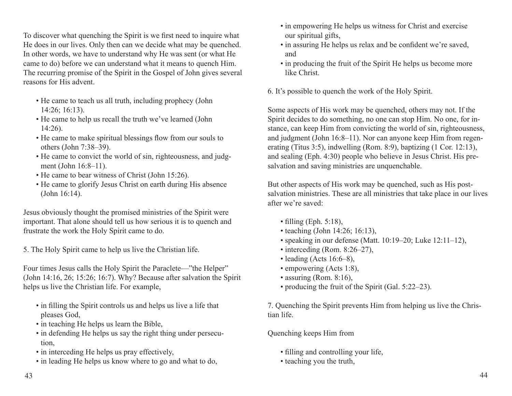To discover what quenching the Spirit is we first need to inquire what He does in our lives. Only then can we decide what may be quenched. In other words, we have to understand why He was sent (or what He came to do) before we can understand what it means to quench Him. The recurring promise of the Spirit in the Gospel of John gives several reasons for His advent.

- He came to teach us all truth, including prophecy (John 14:26; 16:13).
- He came to help us recall the truth we've learned (John 14:26).
- He came to make spiritual blessings flow from our souls to others (John 7:38–39).
- He came to convict the world of sin, righteousness, and judgment (John 16:8–11).
- He came to bear witness of Christ (John 15:26).
- He came to glorify Jesus Christ on earth during His absence (John 16:14).

Jesus obviously thought the promised ministries of the Spirit were important. That alone should tell us how serious it is to quench and frustrate the work the Holy Spirit came to do.

5. The Holy Spirit came to help us live the Christian life.

Four times Jesus calls the Holy Spirit the Paraclete—"the Helper" (John 14:16, 26; 15:26; 16:7). Why? Because after salvation the Spirit helps us live the Christian life. For example,

- in filling the Spirit controls us and helps us live a life that pleases God,
- in teaching He helps us learn the Bible,
- in defending He helps us say the right thing under persecution,
- in interceding He helps us pray effectively,
- in leading He helps us know where to go and what to do,
- in empowering He helps us witness for Christ and exercise our spiritual gifts,
- in assuring He helps us relax and be confident we're saved, and
- in producing the fruit of the Spirit He helps us become more like Christ.
- 6. It's possible to quench the work of the Holy Spirit.

Some aspects of His work may be quenched, others may not. If the Spirit decides to do something, no one can stop Him. No one, for instance, can keep Him from convicting the world of sin, righteousness, and judgment (John 16:8–11). Nor can anyone keep Him from regenerating (Titus 3:5), indwelling (Rom. 8:9), baptizing (1 Cor. 12:13), and sealing (Eph. 4:30) people who believe in Jesus Christ. His presalvation and saving ministries are unquenchable.

But other aspects of His work may be quenched, such as His postsalvation ministries. These are all ministries that take place in our lives after we're saved:

- $\bullet$  filling (Eph. 5:18),
- teaching (John 14:26; 16:13),
- speaking in our defense (Matt. 10:19–20; Luke 12:11–12),
- interceding (Rom. 8:26–27),
- leading (Acts  $16:6-8$ ),
- empowering (Acts 1:8),
- assuring (Rom. 8:16),
- producing the fruit of the Spirit (Gal. 5:22–23).

7. Quenching the Spirit prevents Him from helping us live the Christian life.

Quenching keeps Him from

- filling and controlling your life,
- teaching you the truth,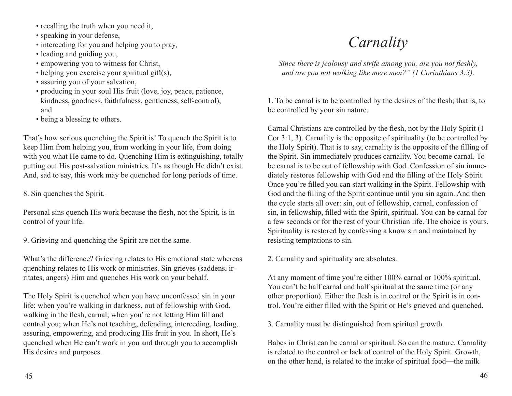- recalling the truth when you need it,
- speaking in your defense,
- interceding for you and helping you to pray,
- leading and guiding you,
- empowering you to witness for Christ,
- helping you exercise your spiritual gift(s),
- assuring you of your salvation,
- producing in your soul His fruit (love, joy, peace, patience, kindness, goodness, faithfulness, gentleness, self-control), and
- being a blessing to others.

That's how serious quenching the Spirit is! To quench the Spirit is to keep Him from helping you, from working in your life, from doing with you what He came to do. Quenching Him is extinguishing, totally putting out His post-salvation ministries. It's as though He didn't exist. And, sad to say, this work may be quenched for long periods of time.

8. Sin quenches the Spirit.

Personal sins quench His work because the flesh, not the Spirit, is in control of your life.

9. Grieving and quenching the Spirit are not the same.

What's the difference? Grieving relates to His emotional state whereas quenching relates to His work or ministries. Sin grieves (saddens, irritates, angers) Him and quenches His work on your behalf.

The Holy Spirit is quenched when you have unconfessed sin in your life; when you're walking in darkness, out of fellowship with God, walking in the flesh, carnal; when you're not letting Him fill and control you; when He's not teaching, defending, interceding, leading, assuring, empowering, and producing His fruit in you. In short, He's quenched when He can't work in you and through you to accomplish His desires and purposes.

# *Carnality*

*Since there is jealousy and strife among you, are you not fleshly, and are you not walking like mere men?" (1 Corinthians 3:3).*

1. To be carnal is to be controlled by the desires of the flesh; that is, to be controlled by your sin nature.

Carnal Christians are controlled by the flesh, not by the Holy Spirit (1 Cor 3:1, 3). Carnality is the opposite of spirituality (to be controlled by the Holy Spirit). That is to say, carnality is the opposite of the filling of the Spirit. Sin immediately produces carnality. You become carnal. To be carnal is to be out of fellowship with God. Confession of sin immediately restores fellowship with God and the filling of the Holy Spirit. Once you're filled you can start walking in the Spirit. Fellowship with God and the filling of the Spirit continue until you sin again. And then the cycle starts all over: sin, out of fellowship, carnal, confession of sin, in fellowship, filled with the Spirit, spiritual. You can be carnal for a few seconds or for the rest of your Christian life. The choice is yours. Spirituality is restored by confessing a know sin and maintained by resisting temptations to sin.

2. Carnality and spirituality are absolutes.

At any moment of time you're either 100% carnal or 100% spiritual. You can't be half carnal and half spiritual at the same time (or any other proportion). Either the flesh is in control or the Spirit is in control. You're either filled with the Spirit or He's grieved and quenched.

3. Carnality must be distinguished from spiritual growth.

Babes in Christ can be carnal or spiritual. So can the mature. Carnality is related to the control or lack of control of the Holy Spirit. Growth, on the other hand, is related to the intake of spiritual food—the milk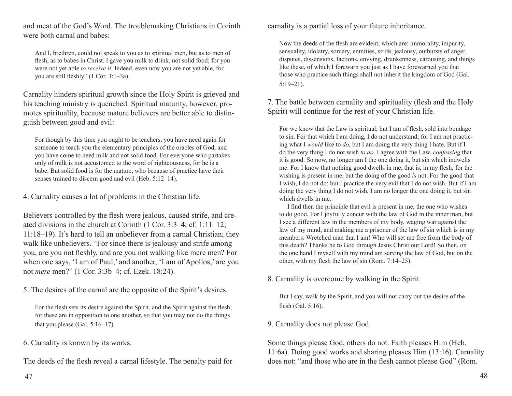and meat of the God's Word. The troublemaking Christians in Corinth were both carnal and babes:

And I, brethren, could not speak to you as to spiritual men, but as to men of flesh, as to babes in Christ. I gave you milk to drink, not solid food; for you were not yet able *to receive it.* Indeed, even now you are not yet able, for you are still fleshly" (1 Cor. 3:1–3a).

Carnality hinders spiritual growth since the Holy Spirit is grieved and his teaching ministry is quenched. Spiritual maturity, however, promotes spirituality, because mature believers are better able to distinguish between good and evil:

For though by this time you ought to be teachers, you have need again for someone to teach you the elementary principles of the oracles of God, and you have come to need milk and not solid food. For everyone who partakes only of milk is not accustomed to the word of righteousness, for he is a babe. But solid food is for the mature, who because of practice have their senses trained to discern good and evil (Heb. 5:12–14).

4. Carnality causes a lot of problems in the Christian life.

Believers controlled by the flesh were jealous, caused strife, and created divisions in the church at Corinth (1 Cor. 3:3–4; cf. 1:11–12; 11:18–19). It's hard to tell an unbeliever from a carnal Christian; they walk like unbelievers. "For since there is jealousy and strife among you, are you not fleshly, and are you not walking like mere men? For when one says, 'I am of Paul,' and another, 'I am of Apollos,' are you not *mere* men?" (1 Cor. 3:3b–4; cf. Ezek. 18:24).

5. The desires of the carnal are the opposite of the Spirit's desires.

For the flesh sets its desire against the Spirit, and the Spirit against the flesh; for these are in opposition to one another, so that you may not do the things that you please (Gal. 5:16–17).

6. Carnality is known by its works.

The deeds of the flesh reveal a carnal lifestyle. The penalty paid for

carnality is a partial loss of your future inheritance.

Now the deeds of the flesh are evident, which are: immorality, impurity, sensuality, idolatry, sorcery, enmities, strife, jealousy, outbursts of anger, disputes, dissensions, factions, envying, drunkenness, carousing, and things like these, of which I forewarn you just as I have forewarned you that those who practice such things shall not inherit the kingdom of God (Gal. 5:19–21).

#### 7. The battle between carnality and spirituality (flesh and the Holy Spirit) will continue for the rest of your Christian life.

For we know that the Law is spiritual; but I am of flesh, sold into bondage to sin. For that which I am doing, I do not understand; for I am not practicing what I *would* like to *do,* but I am doing the very thing I hate. But if I do the very thing I do not wish *to do,* I agree with the Law, *confessing* that it is good. So now, no longer am I the one doing it, but sin which indwells me. For I know that nothing good dwells in me, that is, in my flesh; for the wishing is present in me, but the doing of the good *is* not. For the good that I wish, I do not do; but I practice the very evil that I do not wish. But if I am doing the very thing I do not wish, I am no longer the one doing it, but sin which dwells in me.

 I find then the principle that evil is present in me, the one who wishes to do good. For I joyfully concur with the law of God in the inner man, but I see a different law in the members of my body, waging war against the law of my mind, and making me a prisoner of the law of sin which is in my members. Wretched man that I am! Who will set me free from the body of this death? Thanks be to God through Jesus Christ our Lord! So then, on the one hand I myself with my mind am serving the law of God, but on the other, with my flesh the law of sin (Rom. 7:14–25).

#### 8. Carnality is overcome by walking in the Spirit.

But I say, walk by the Spirit, and you will not carry out the desire of the flesh (Gal. 5:16).

#### 9. Carnality does not please God.

Some things please God, others do not. Faith pleases Him (Heb. 11:6a). Doing good works and sharing pleases Him (13:16). Carnality does not: "and those who are in the flesh cannot please God" (Rom.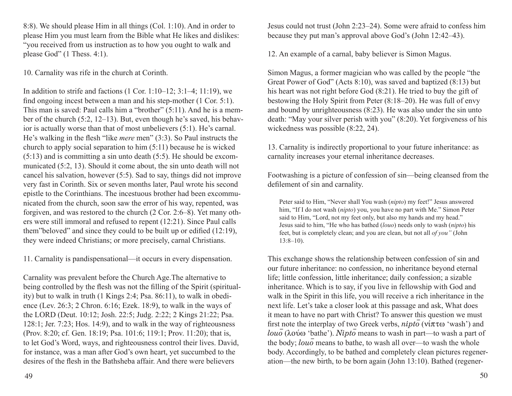8:8). We should please Him in all things (Col. 1:10). And in order to please Him you must learn from the Bible what He likes and dislikes: "you received from us instruction as to how you ought to walk and please God" (1 Thess. 4:1).

10. Carnality was rife in the church at Corinth.

In addition to strife and factions  $(1 \text{ Cor. } 1:10-12; 3:1-4; 11:19)$ , we find ongoing incest between a man and his step-mother (1 Cor. 5:1). This man is saved: Paul calls him a "brother" (5:11). And he is a member of the church (5:2, 12–13). But, even though he's saved, his behavior is actually worse than that of most unbelievers (5:1). He's carnal. He's walking in the flesh "like *mere* men" (3:3). So Paul instructs the church to apply social separation to him (5:11) because he is wicked (5:13) and is committing a sin unto death (5:5). He should be excommunicated (5:2, 13). Should it come about, the sin unto death will not cancel his salvation, however (5:5). Sad to say, things did not improve very fast in Corinth. Six or seven months later, Paul wrote his second epistle to the Corinthians. The incestuous brother had been excommunicated from the church, soon saw the error of his way, repented, was forgiven, and was restored to the church (2 Cor. 2:6–8). Yet many others were still immoral and refused to repent (12:21). Since Paul calls them"beloved" and since they could to be built up or edified (12:19), they were indeed Christians; or more precisely, carnal Christians.

11. Carnality is pandispensational—it occurs in every dispensation.

Carnality was prevalent before the Church Age.The alternative to being controlled by the flesh was not the filling of the Spirit (spirituality) but to walk in truth (1 Kings 2:4; Psa. 86:11), to walk in obedience (Lev. 26:3; 2 Chron. 6:16; Ezek. 18:9), to walk in the ways of the LORD (Deut. 10:12; Josh. 22:5; Judg. 2:22; 2 Kings 21:22; Psa. 128:1; Jer. 7:23; Hos. 14:9), and to walk in the way of righteousness (Prov. 8:20; cf. Gen. 18:19; Psa. 101:6; 119:1; Prov. 11:20); that is, to let God's Word, ways, and righteousness control their lives. David, for instance, was a man after God's own heart, yet succumbed to the desires of the flesh in the Bathsheba affair. And there were believers

Jesus could not trust (John 2:23–24). Some were afraid to confess him because they put man's approval above God's (John 12:42–43).

12. An example of a carnal, baby believer is Simon Magus.

Simon Magus, a former magician who was called by the people "the Great Power of God" (Acts 8:10), was saved and baptized (8:13) but his heart was not right before God (8:21). He tried to buy the gift of bestowing the Holy Spirit from Peter (8:18–20). He was full of envy and bound by unrighteousness (8:23). He was also under the sin unto death: "May your silver perish with you" (8:20). Yet forgiveness of his wickedness was possible (8:22, 24).

13. Carnality is indirectly proportional to your future inheritance: as carnality increases your eternal inheritance decreases.

Footwashing is a picture of confession of sin—being cleansed from the defilement of sin and carnality.

Peter said to Him, "Never shall You wash (*nipto*) my feet!" Jesus answered him, "If I do not wash (*nipto*) you, you have no part with Me." Simon Peter said to Him, "Lord, not my feet only, but also my hands and my head." Jesus said to him, "He who has bathed (*louo*) needs only to wash (*nipto*) his feet, but is completely clean; and you are clean, but not all *of you"* (John  $13:8-10$ ).

This exchange shows the relationship between confession of sin and our future inheritance: no confession, no inheritance beyond eternal life; little confession, little inheritance; daily confession; a sizable inheritance. Which is to say, if you live in fellowship with God and walk in the Spirit in this life, you will receive a rich inheritance in the next life. Let's take a closer look at this passage and ask, What does it mean to have no part with Christ? To answer this question we must first note the interplay of two Greek verbs,  $nipto$  ( $\nu$ i $\pi\tau\omega$  'wash') and louo ( $\lambda$ oύω 'bathe'). Nipto means to wash in part—to wash a part of the body;  $lou\bar{o}$  means to bathe, to wash all over—to wash the whole body. Accordingly, to be bathed and completely clean pictures regeneration—the new birth, to be born again (John 13:10). Bathed (regener-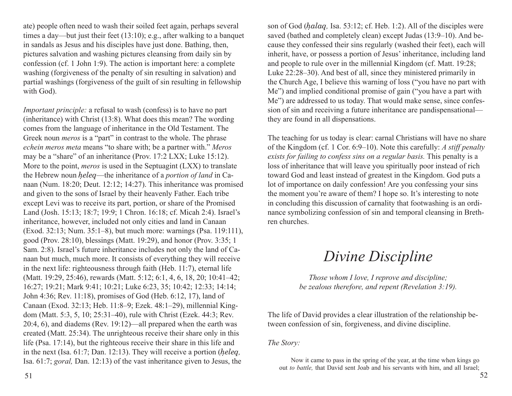ate) people often need to wash their soiled feet again, perhaps several times a day—but just their feet (13:10); e.g., after walking to a banquet in sandals as Jesus and his disciples have just done. Bathing, then, pictures salvation and washing pictures cleansing from daily sin by confession (cf. 1 John 1:9). The action is important here: a complete washing (forgiveness of the penalty of sin resulting in salvation) and partial washings (forgiveness of the guilt of sin resulting in fellowship with God).

*Important principle:* a refusal to wash (confess) is to have no part (inheritance) with Christ (13:8). What does this mean? The wording comes from the language of inheritance in the Old Testament. The Greek noun *meros* is a "part" in contrast to the whole. The phrase *echein meros meta* means "to share with; be a partner with." *Meros* may be a "share" of an inheritance (Prov. 17:2 LXX; Luke 15:12). More to the point, *meros* is used in the Septuagint (LXX) to translate the Hebrew noun *heleq*—the inheritance of a *portion of land* in Canaan (Num. 18:20; Deut. 12:12; 14:27). This inheritance was promised and given to the sons of Israel by their heavenly Father. Each tribe except Levi was to receive its part, portion, or share of the Promised Land (Josh. 15:13; 18:7; 19:9; 1 Chron. 16:18; cf. Micah 2:4). Israel's inheritance, however, included not only cities and land in Canaan (Exod. 32:13; Num. 35:1–8), but much more: warnings (Psa. 119:111), good (Prov. 28:10), blessings (Matt. 19:29), and honor (Prov. 3:35; 1 Sam. 2:8). Israel's future inheritance includes not only the land of Canaan but much, much more. It consists of everything they will receive in the next life: righteousness through faith (Heb. 11:7), eternal life (Matt. 19:29, 25:46), rewards (Matt. 5:12; 6:1, 4, 6, 18, 20; 10:41–42; 16:27; 19:21; Mark 9:41; 10:21; Luke 6:23, 35; 10:42; 12:33; 14:14; John 4:36; Rev. 11:18), promises of God (Heb. 6:12, 17), land of Canaan (Exod. 32:13; Heb. 11:8–9; Ezek. 48:1–29), millennial Kingdom (Matt. 5:3, 5, 10; 25:31–40), rule with Christ (Ezek. 44:3; Rev. 20:4, 6), and diadems (Rev. 19:12)—all prepared when the earth was created (Matt. 25:34). The unrighteous receive their share only in this life (Psa. 17:14), but the righteous receive their share in this life and in the next (Isa. 61:7; Dan. 12:13). They will receive a portion (heleq, Isa. 61:7; *goral,* Dan. 12:13) of the vast inheritance given to Jesus, the

son of God (halaq, Isa. 53:12; cf. Heb. 1:2). All of the disciples were saved (bathed and completely clean) except Judas (13:9-10). And because they confessed their sins regularly (washed their feet), each will inherit, have, or possess a portion of Jesus' inheritance, including land and people to rule over in the millennial Kingdom (cf. Matt. 19:28; Luke 22:28–30). And best of all, since they ministered primarily in the Church Age, I believe this warning of loss ("you have no part with Me") and implied conditional promise of gain ("you have a part with Me") are addressed to us today. That would make sense, since confession of sin and receiving a future inheritance are pandispensational they are found in all dispensations.

The teaching for us today is clear: carnal Christians will have no share of the Kingdom (cf. 1 Cor. 6:9–10). Note this carefully: *A stiff penalty exists for failing to confess sins on a regular basis.* This penalty is a loss of inheritance that will leave you spiritually poor instead of rich toward God and least instead of greatest in the Kingdom. God puts a lot of importance on daily confession! Are you confessing your sins the moment you're aware of them? I hope so. It's interesting to note in concluding this discussion of carnality that footwashing is an ordinance symbolizing confession of sin and temporal cleansing in Brethren churches.

## *Divine Discipline*

*Those whom I love, I reprove and discipline; be zealous therefore, and repent (Revelation 3:19).*

The life of David provides a clear illustration of the relationship between confession of sin, forgiveness, and divine discipline.

*The Story:*

Now it came to pass in the spring of the year, at the time when kings go out *to battle,* that David sent Joab and his servants with him, and all Israel;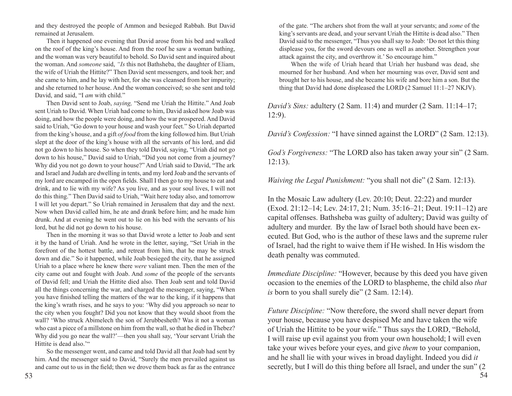and they destroyed the people of Ammon and besieged Rabbah. But David remained at Jerusalem.

Then it happened one evening that David arose from his bed and walked on the roof of the king's house. And from the roof he saw a woman bathing, and the woman was very beautiful to behold. So David sent and inquired about the woman. And *someone* said, *"Is* this not Bathsheba, the daughter of Eliam, the wife of Uriah the Hittite?" Then David sent messengers, and took her; and she came to him, and he lay with her, for she was cleansed from her impurity; and she returned to her house. And the woman conceived; so she sent and told David, and said, "I *am* with child."

Then David sent to Joab, *saying,* "Send me Uriah the Hittite." And Joab sent Uriah to David. When Uriah had come to him, David asked how Joab was doing, and how the people were doing, and how the war prospered. And David said to Uriah, "Go down to your house and wash your feet." So Uriah departed from the king's house, and a gift *of food* from the king followed him. But Uriah slept at the door of the king's house with all the servants of his lord, and did not go down to his house. So when they told David, saying, "Uriah did not go down to his house," David said to Uriah, "Did you not come from a journey? Why did you not go down to your house?" And Uriah said to David, "The ark and Israel and Judah are dwelling in tents, and my lord Joab and the servants of my lord are encamped in the open fields. Shall I then go to my house to eat and drink, and to lie with my wife? As you live, and as your soul lives, I will not do this thing." Then David said to Uriah, "Wait here today also, and tomorrow I will let you depart." So Uriah remained in Jerusalem that day and the next. Now when David called him, he ate and drank before him; and he made him drunk. And at evening he went out to lie on his bed with the servants of his lord, but he did not go down to his house.

Then in the morning it was so that David wrote a letter to Joab and sent it by the hand of Uriah. And he wrote in the letter, saying, "Set Uriah in the forefront of the hottest battle, and retreat from him, that he may be struck down and die." So it happened, while Joab besieged the city, that he assigned Uriah to a place where he knew there *were* valiant men. Then the men of the city came out and fought with Joab. And *some* of the people of the servants of David fell; and Uriah the Hittite died also. Then Joab sent and told David all the things concerning the war, and charged the messenger, saying, "When you have finished telling the matters of the war to the king, if it happens that the king's wrath rises, and he says to you: 'Why did you approach so near to the city when you fought? Did you not know that they would shoot from the wall? 'Who struck Abimelech the son of Jerubbesheth? Was it not a woman who cast a piece of a millstone on him from the wall, so that he died in Thebez? Why did you go near the wall?'—then you shall say, 'Your servant Uriah the Hittite is dead also."

So the messenger went, and came and told David all that Joab had sent by him. And the messenger said to David, "Surely the men prevailed against us and came out to us in the field; then we drove them back as far as the entrance of the gate. "The archers shot from the wall at your servants; and *some* of the king's servants are dead, and your servant Uriah the Hittite is dead also." Then David said to the messenger, "Thus you shall say to Joab: 'Do not let this thing displease you, for the sword devours one as well as another. Strengthen your attack against the city, and overthrow it.' So encourage him."

When the wife of Uriah heard that Uriah her husband was dead, she mourned for her husband. And when her mourning was over, David sent and brought her to his house, and she became his wife and bore him a son. But the thing that David had done displeased the LORD (2 Samuel 11:1–27 NKJV).

*David's Sins:* adultery (2 Sam. 11:4) and murder (2 Sam. 11:14–17; 12:9).

*David's Confession:* "I have sinned against the LORD" (2 Sam. 12:13).

*God's Forgiveness:* "The LORD also has taken away your sin" (2 Sam. 12:13).

*Waiving the Legal Punishment:* "you shall not die" (2 Sam. 12:13).

In the Mosaic Law adultery (Lev. 20:10; Deut. 22:22) and murder (Exod. 21:12–14; Lev. 24:17, 21; Num. 35:16–21; Deut. 19:11–12) are capital offenses. Bathsheba was guilty of adultery; David was guilty of adultery and murder. By the law of Israel both should have been executed. But God, who is the author of these laws and the supreme ruler of Israel, had the right to waive them if He wished. In His wisdom the death penalty was commuted.

*Immediate Discipline:* "However, because by this deed you have given occasion to the enemies of the LORD to blaspheme, the child also *that is* born to you shall surely die" (2 Sam. 12:14).

*Future Discipline:* "Now therefore, the sword shall never depart from your house, because you have despised Me and have taken the wife of Uriah the Hittite to be your wife." Thus says the LORD, "Behold, I will raise up evil against you from your own household; I will even take your wives before your eyes, and give *them* to your companion, and he shall lie with your wives in broad daylight. Indeed you did *it* secretly, but I will do this thing before all Israel, and under the sun" (2)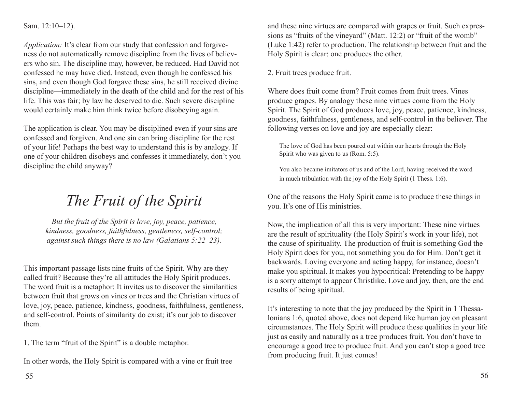#### Sam. 12:10–12).

*Application:* It's clear from our study that confession and forgiveness do not automatically remove discipline from the lives of believers who sin. The discipline may, however, be reduced. Had David not confessed he may have died. Instead, even though he confessed his sins, and even though God forgave these sins, he still received divine discipline—immediately in the death of the child and for the rest of his life. This was fair; by law he deserved to die. Such severe discipline would certainly make him think twice before disobeying again.

The application is clear. You may be disciplined even if your sins are confessed and forgiven. And one sin can bring discipline for the rest of your life! Perhaps the best way to understand this is by analogy. If one of your children disobeys and confesses it immediately, don't you discipline the child anyway?

### *The Fruit of the Spirit*

*But the fruit of the Spirit is love, joy, peace, patience, kindness, goodness, faithfulness, gentleness, self-control; against such things there is no law (Galatians 5:22–23).*

This important passage lists nine fruits of the Spirit. Why are they called fruit? Because they're all attitudes the Holy Spirit produces. The word fruit is a metaphor: It invites us to discover the similarities between fruit that grows on vines or trees and the Christian virtues of love, joy, peace, patience, kindness, goodness, faithfulness, gentleness, and self-control. Points of similarity do exist; it's our job to discover them.

1. The term "fruit of the Spirit" is a double metaphor.

In other words, the Holy Spirit is compared with a vine or fruit tree

and these nine virtues are compared with grapes or fruit. Such expressions as "fruits of the vineyard" (Matt. 12:2) or "fruit of the womb" (Luke 1:42) refer to production. The relationship between fruit and the Holy Spirit is clear: one produces the other.

#### 2. Fruit trees produce fruit.

Where does fruit come from? Fruit comes from fruit trees. Vines produce grapes. By analogy these nine virtues come from the Holy Spirit. The Spirit of God produces love, joy, peace, patience, kindness, goodness, faithfulness, gentleness, and self-control in the believer. The following verses on love and joy are especially clear:

The love of God has been poured out within our hearts through the Holy Spirit who was given to us (Rom. 5:5).

You also became imitators of us and of the Lord, having received the word in much tribulation with the joy of the Holy Spirit (1 Thess. 1:6).

One of the reasons the Holy Spirit came is to produce these things in you. It's one of His ministries.

Now, the implication of all this is very important: These nine virtues are the result of spirituality (the Holy Spirit's work in your life), not the cause of spirituality. The production of fruit is something God the Holy Spirit does for you, not something you do for Him. Don't get it backwards. Loving everyone and acting happy, for instance, doesn't make you spiritual. It makes you hypocritical: Pretending to be happy is a sorry attempt to appear Christlike. Love and joy, then, are the end results of being spiritual.

It's interesting to note that the joy produced by the Spirit in 1 Thessalonians 1:6, quoted above, does not depend like human joy on pleasant circumstances. The Holy Spirit will produce these qualities in your life just as easily and naturally as a tree produces fruit. You don't have to encourage a good tree to produce fruit. And you can't stop a good tree from producing fruit. It just comes!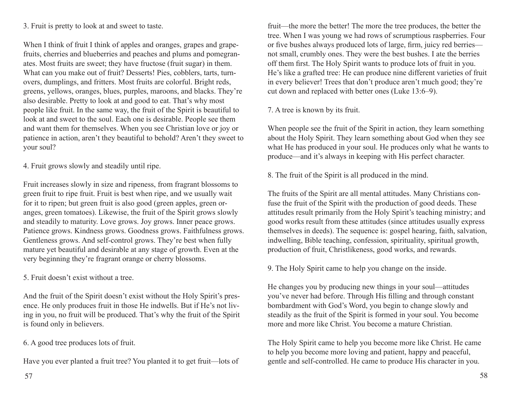3. Fruit is pretty to look at and sweet to taste.

When I think of fruit I think of apples and oranges, grapes and grapefruits, cherries and blueberries and peaches and plums and pomegranates. Most fruits are sweet; they have fructose (fruit sugar) in them. What can you make out of fruit? Desserts! Pies, cobblers, tarts, turnovers, dumplings, and fritters. Most fruits are colorful. Bright reds, greens, yellows, oranges, blues, purples, maroons, and blacks. They're also desirable. Pretty to look at and good to eat. That's why most people like fruit. In the same way, the fruit of the Spirit is beautiful to look at and sweet to the soul. Each one is desirable. People see them and want them for themselves. When you see Christian love or joy or patience in action, aren't they beautiful to behold? Aren't they sweet to your soul?

4. Fruit grows slowly and steadily until ripe.

Fruit increases slowly in size and ripeness, from fragrant blossoms to green fruit to ripe fruit. Fruit is best when ripe, and we usually wait for it to ripen; but green fruit is also good (green apples, green oranges, green tomatoes). Likewise, the fruit of the Spirit grows slowly and steadily to maturity. Love grows. Joy grows. Inner peace grows. Patience grows. Kindness grows. Goodness grows. Faithfulness grows. Gentleness grows. And self-control grows. They're best when fully mature yet beautiful and desirable at any stage of growth. Even at the very beginning they're fragrant orange or cherry blossoms.

5. Fruit doesn't exist without a tree.

And the fruit of the Spirit doesn't exist without the Holy Spirit's presence. He only produces fruit in those He indwells. But if He's not living in you, no fruit will be produced. That's why the fruit of the Spirit is found only in believers.

6. A good tree produces lots of fruit.

Have you ever planted a fruit tree? You planted it to get fruit—lots of

fruit—the more the better! The more the tree produces, the better the tree. When I was young we had rows of scrumptious raspberries. Four or five bushes always produced lots of large, firm, juicy red berries not small, crumbly ones. They were the best bushes. I ate the berries off them first. The Holy Spirit wants to produce lots of fruit in you. He's like a grafted tree: He can produce nine different varieties of fruit in every believer! Trees that don't produce aren't much good; they're cut down and replaced with better ones (Luke 13:6–9).

7. A tree is known by its fruit.

When people see the fruit of the Spirit in action, they learn something about the Holy Spirit. They learn something about God when they see what He has produced in your soul. He produces only what he wants to produce—and it's always in keeping with His perfect character.

8. The fruit of the Spirit is all produced in the mind.

The fruits of the Spirit are all mental attitudes. Many Christians confuse the fruit of the Spirit with the production of good deeds. These attitudes result primarily from the Holy Spirit's teaching ministry; and good works result from these attitudes (since attitudes usually express themselves in deeds). The sequence is: gospel hearing, faith, salvation, indwelling, Bible teaching, confession, spirituality, spiritual growth, production of fruit, Christlikeness, good works, and rewards.

9. The Holy Spirit came to help you change on the inside.

He changes you by producing new things in your soul—attitudes you've never had before. Through His filling and through constant bombardment with God's Word, you begin to change slowly and steadily as the fruit of the Spirit is formed in your soul. You become more and more like Christ. You become a mature Christian.

The Holy Spirit came to help you become more like Christ. He came to help you become more loving and patient, happy and peaceful, gentle and self-controlled. He came to produce His character in you.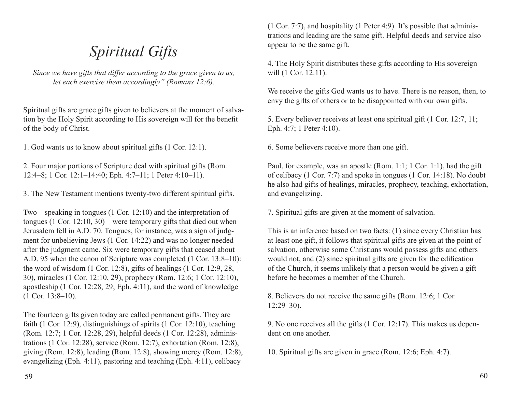## *Spiritual Gifts*

*Since we have gifts that differ according to the grace given to us, let each exercise them accordingly" (Romans 12:6).*

Spiritual gifts are grace gifts given to believers at the moment of salvation by the Holy Spirit according to His sovereign will for the benefit of the body of Christ.

1. God wants us to know about spiritual gifts (1 Cor. 12:1).

2. Four major portions of Scripture deal with spiritual gifts (Rom. 12:4–8; 1 Cor. 12:1–14:40; Eph. 4:7–11; 1 Peter 4:10–11).

3. The New Testament mentions twenty-two different spiritual gifts.

Two—speaking in tongues (1 Cor. 12:10) and the interpretation of tongues (1 Cor. 12:10, 30)—were temporary gifts that died out when Jerusalem fell in A.D. 70. Tongues, for instance, was a sign of judgment for unbelieving Jews (1 Cor. 14:22) and was no longer needed after the judgment came. Six were temporary gifts that ceased about A.D. 95 when the canon of Scripture was completed (1 Cor. 13:8–10): the word of wisdom (1 Cor. 12:8), gifts of healings (1 Cor. 12:9, 28, 30), miracles (1 Cor. 12:10, 29), prophecy (Rom. 12:6; 1 Cor. 12:10), apostleship (1 Cor. 12:28, 29; Eph. 4:11), and the word of knowledge (1 Cor. 13:8–10).

The fourteen gifts given today are called permanent gifts. They are faith (1 Cor. 12:9), distinguishings of spirits (1 Cor. 12:10), teaching (Rom. 12:7; 1 Cor. 12:28, 29), helpful deeds (1 Cor. 12:28), administrations (1 Cor. 12:28), service (Rom. 12:7), exhortation (Rom. 12:8), giving (Rom. 12:8), leading (Rom. 12:8), showing mercy (Rom. 12:8), evangelizing (Eph. 4:11), pastoring and teaching (Eph. 4:11), celibacy

(1 Cor. 7:7), and hospitality (1 Peter 4:9). It's possible that administrations and leading are the same gift. Helpful deeds and service also appear to be the same gift.

4. The Holy Spirit distributes these gifts according to His sovereign will (1 Cor. 12:11).

We receive the gifts God wants us to have. There is no reason, then, to envy the gifts of others or to be disappointed with our own gifts.

5. Every believer receives at least one spiritual gift (1 Cor. 12:7, 11; Eph. 4:7; 1 Peter 4:10).

6. Some believers receive more than one gift.

Paul, for example, was an apostle (Rom. 1:1; 1 Cor. 1:1), had the gift of celibacy (1 Cor. 7:7) and spoke in tongues (1 Cor. 14:18). No doubt he also had gifts of healings, miracles, prophecy, teaching, exhortation, and evangelizing.

7. Spiritual gifts are given at the moment of salvation.

This is an inference based on two facts: (1) since every Christian has at least one gift, it follows that spiritual gifts are given at the point of salvation, otherwise some Christians would possess gifts and others would not, and (2) since spiritual gifts are given for the edification of the Church, it seems unlikely that a person would be given a gift before he becomes a member of the Church.

8. Believers do not receive the same gifts (Rom. 12:6; 1 Cor. 12:29–30).

9. No one receives all the gifts (1 Cor. 12:17). This makes us dependent on one another.

10. Spiritual gifts are given in grace (Rom. 12:6; Eph. 4:7).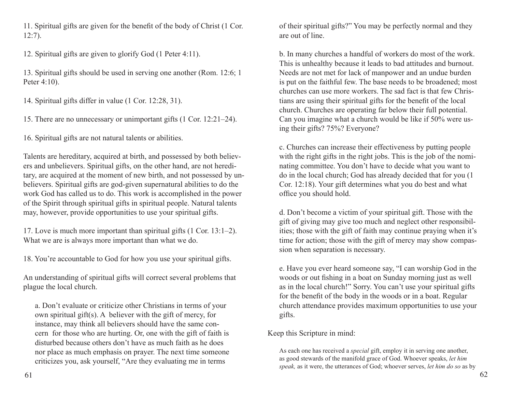11. Spiritual gifts are given for the benefit of the body of Christ (1 Cor. 12:7).

12. Spiritual gifts are given to glorify God (1 Peter 4:11).

13. Spiritual gifts should be used in serving one another (Rom. 12:6; 1 Peter 4:10).

14. Spiritual gifts differ in value (1 Cor. 12:28, 31).

15. There are no unnecessary or unimportant gifts (1 Cor. 12:21–24).

16. Spiritual gifts are not natural talents or abilities.

Talents are hereditary, acquired at birth, and possessed by both believers and unbelievers. Spiritual gifts, on the other hand, are not hereditary, are acquired at the moment of new birth, and not possessed by unbelievers. Spiritual gifts are god-given supernatural abilities to do the work God has called us to do. This work is accomplished in the power of the Spirit through spiritual gifts in spiritual people. Natural talents may, however, provide opportunities to use your spiritual gifts.

17. Love is much more important than spiritual gifts (1 Cor. 13:1–2). What we are is always more important than what we do.

18. You're accountable to God for how you use your spiritual gifts.

An understanding of spiritual gifts will correct several problems that plague the local church.

a. Don't evaluate or criticize other Christians in terms of your own spiritual gift(s). A believer with the gift of mercy, for instance, may think all believers should have the same concern for those who are hurting. Or, one with the gift of faith is disturbed because others don't have as much faith as he does nor place as much emphasis on prayer. The next time someone criticizes you, ask yourself, "Are they evaluating me in terms

of their spiritual gifts?" You may be perfectly normal and they are out of line.

b. In many churches a handful of workers do most of the work. This is unhealthy because it leads to bad attitudes and burnout. Needs are not met for lack of manpower and an undue burden is put on the faithful few. The base needs to be broadened; most churches can use more workers. The sad fact is that few Christians are using their spiritual gifts for the benefit of the local church. Churches are operating far below their full potential. Can you imagine what a church would be like if 50% were using their gifts? 75%? Everyone?

c. Churches can increase their effectiveness by putting people with the right gifts in the right jobs. This is the job of the nominating committee. You don't have to decide what you want to do in the local church; God has already decided that for you (1 Cor. 12:18). Your gift determines what you do best and what office you should hold.

d. Don't become a victim of your spiritual gift. Those with the gift of giving may give too much and neglect other responsibilities; those with the gift of faith may continue praying when it's time for action; those with the gift of mercy may show compassion when separation is necessary.

e. Have you ever heard someone say, "I can worship God in the woods or out fishing in a boat on Sunday morning just as well as in the local church!" Sorry. You can't use your spiritual gifts for the benefit of the body in the woods or in a boat. Regular church attendance provides maximum opportunities to use your gifts.

Keep this Scripture in mind:

As each one has received a *special* gift, employ it in serving one another, as good stewards of the manifold grace of God. Whoever speaks, *let him speak,* as it were, the utterances of God; whoever serves, *let him do so* as by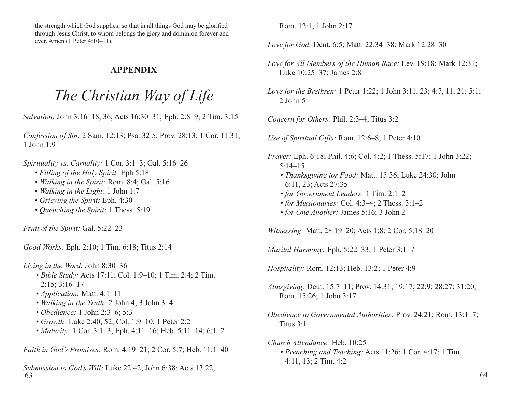the strength which God supplies; so that in all things God may be glorified through Jesus Christ, to whom belongs the glory and dominion forever and ever. Amen (1 Peter 4:10–11).

#### **APPENDIX**

## *The Christian Way of Life*

*Salvation:* John 3:16–18, 36; Acts 16:30–31; Eph. 2:8–9; 2 Tim. 3:15

*Confession of Sin:* 2 Sam. 12:13; Psa. 32:5; Prov. 28:13; 1 Cor. 11:31; 1 John 1:9

*Spirituality vs. Carnality:* 1 Cor. 3:1–3; Gal. 5:16–26

- *Filling of the Holy Spirit:* Eph 5:18
- *Walking in the Spirit:* Rom. 8:4; Gal. 5:16
- *Walking in the Light:* 1 John 1:7
- *Grieving the Spirit:* Eph. 4:30
- *Quenching the Spirit:* 1 Thess. 5:19

*Fruit of the Spirit:* Gal. 5:22–23

*Good Works:* Eph. 2:10; 1 Tim. 6:18; Titus 2:14

*Living in the Word:* John 8:30–36

- *Bible Study:* Acts 17:11; Col. 1:9–10; 1 Tim. 2:4; 2 Tim. 2:15; 3:16–17
- *Application:* Matt. 4:1–11
- *Walking in the Truth:* 2 John 4; 3 John 3–4
- *Obedience:* 1 John 2:3–6; 5:3
- *Growth:* Luke 2:40, 52; Col. 1:9–10; 1 Peter 2:2
- *Maturity:* 1 Cor. 3:1–3; Eph. 4:11–16; Heb. 5:11–14; 6:1–2

*Faith in God's Promises:* Rom. 4:19–21; 2 Cor. 5:7; Heb. 11:1–40

*Submission to God's Will:* Luke 22:42; John 6:38; Acts 13:22; 63 64

Rom. 12:1; 1 John 2:17

*Love for God:* Deut. 6:5; Matt. 22:34–38; Mark 12:28–30

- *Love for All Members of the Human Race:* Lev. 19:18; Mark 12:31; Luke 10:25–37; James 2:8
- *Love for the Brethren:* 1 Peter 1:22; 1 John 3:11, 23; 4:7, 11, 21; 5:1; 2 John 5

*Concern for Others:* Phil. 2:3–4; Titus 3:2

*Use of Spiritual Gifts:* Rom. 12:6–8; 1 Peter 4:10

- *Prayer:* Eph. 6:18; Phil. 4:6; Col. 4:2; 1 Thess. 5:17; 1 John 3:22; 5:14–15
	- *Thanksgiving for Food:* Matt. 15:36; Luke 24:30; John 6:11, 23; Acts 27:35
	- *for Government Leaders:* 1 Tim. 2:1–2
	- *for Missionaries:* Col. 4:3–4; 2 Thess. 3:1–2
	- *for One Another:* James 5:16; 3 John 2

*Witnessing:* Matt. 28:19–20; Acts 1:8; 2 Cor. 5:18–20

*Marital Harmony:* Eph. 5:22–33; 1 Peter 3:1–7

*Hospitality:* Rom. 12:13; Heb. 13:2; 1 Peter 4:9

- *Almsgiving:* Deut. 15:7–11; Prov. 14:31; 19:17; 22:9; 28:27; 31:20; Rom. 15:26; 1 John 3:17
- *Obedience to Governmental Authorities:* Prov. 24:21; Rom. 13:1–7; Titus 3:1
- *Church Attendance:* Heb. 10:25 • *Preaching and Teaching:* Acts 11:26; 1 Cor. 4:17; 1 Tim. 4:11, 13; 2 Tim. 4:2